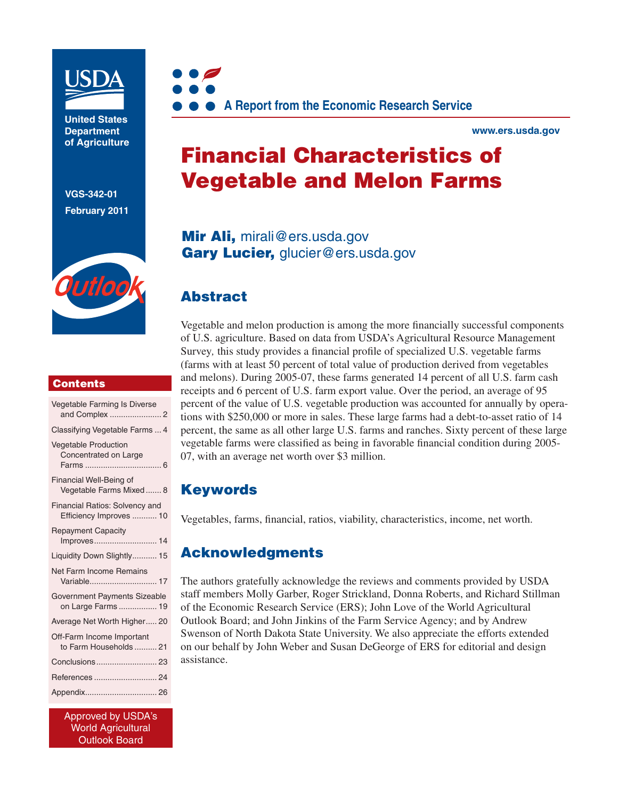

**United States Department of Agriculture** 

**VGS-342-01 February 2011**



## **Contents**

| Vegetable Farming Is Diverse                                     |
|------------------------------------------------------------------|
| Classifying Vegetable Farms  4                                   |
| <b>Vegetable Production</b><br>Concentrated on Large             |
| Financial Well-Being of<br>Vegetable Farms Mixed 8               |
| <b>Financial Ratios: Solvency and</b><br>Efficiency Improves  10 |
| <b>Repayment Capacity</b>                                        |
| Liquidity Down Slightly 15                                       |
| <b>Net Farm Income Remains</b><br>Variable 17                    |
| Government Payments Sizeable<br>on Large Farms 19                |
| Average Net Worth Higher 20                                      |
| Off-Farm Income Important<br>to Farm Households  21              |
| Conclusions 23                                                   |
| References  24                                                   |
| Appendix 26                                                      |

Approved by USDA's World Agricultural Outlook Board



**www.ers.usda.gov** 

# Financial Characteristics of Vegetable and Melon Farms

Mir Ali, mirali@ers.usda.gov Gary Lucier, glucier@ers.usda.gov

# Abstract

Vegetable and melon production is among the more financially successful components of U.S. agriculture. Based on data from USDA's Agricultural Resource Management Survey*,* this study provides a financial profile of specialized U.S. vegetable farms (farms with at least 50 percent of total value of production derived from vegetables and melons). During 2005-07, these farms generated 14 percent of all U.S. farm cash receipts and 6 percent of U.S. farm export value. Over the period, an average of 95 percent of the value of U.S. vegetable production was accounted for annually by operations with \$250,000 or more in sales. These large farms had a debt-to-asset ratio of 14 percent, the same as all other large U.S. farms and ranches. Sixty percent of these large vegetable farms were classified as being in favorable financial condition during 2005- 07, with an average net worth over \$3 million.

## Keywords

Vegetables, farms, financial, ratios, viability, characteristics, income, net worth.

# Acknowledgments

The authors gratefully acknowledge the reviews and comments provided by USDA staff members Molly Garber, Roger Strickland, Donna Roberts, and Richard Stillman of the Economic Research Service (ERS); John Love of the World Agricultural Outlook Board; and John Jinkins of the Farm Service Agency; and by Andrew Swenson of North Dakota State University. We also appreciate the efforts extended on our behalf by John Weber and Susan DeGeorge of ERS for editorial and design assistance.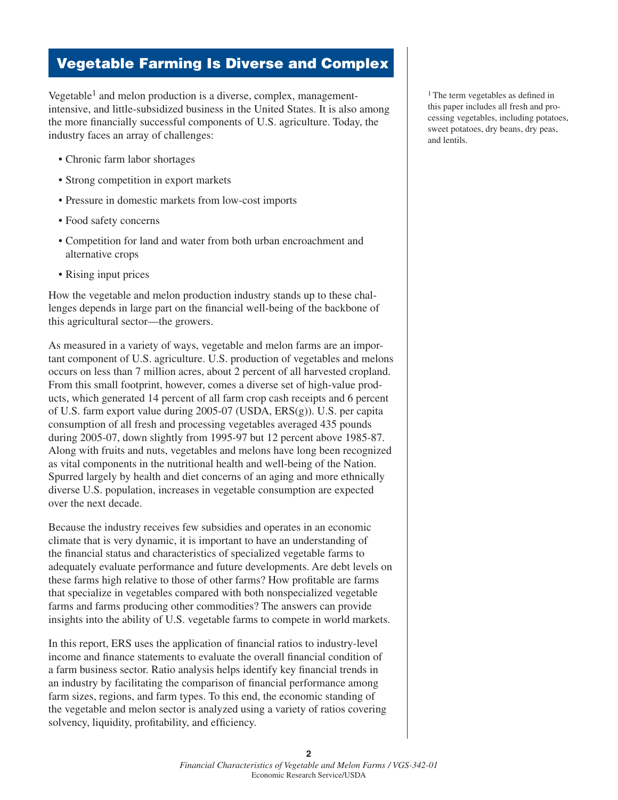# Vegetable Farming Is Diverse and Complex

Vegetable<sup>1</sup> and melon production is a diverse, complex, managementintensive, and little-subsidized business in the United States. It is also among the more financially successful components of U.S. agriculture. Today, the industry faces an array of challenges:

- Chronic farm labor shortages
- Strong competition in export markets
- • Pressure in domestic markets from low-cost imports
- Food safety concerns
- • Competition for land and water from both urban encroachment and alternative crops
- Rising input prices

How the vegetable and melon production industry stands up to these challenges depends in large part on the financial well-being of the backbone of this agricultural sector—the growers.

As measured in a variety of ways, vegetable and melon farms are an important component of U.S. agriculture. U.S. production of vegetables and melons occurs on less than 7 million acres, about 2 percent of all harvested cropland. From this small footprint, however, comes a diverse set of high-value products, which generated 14 percent of all farm crop cash receipts and 6 percent of U.S. farm export value during 2005-07 (USDA, ERS(g)). U.S. per capita consumption of all fresh and processing vegetables averaged 435 pounds during 2005-07, down slightly from 1995-97 but 12 percent above 1985-87. Along with fruits and nuts, vegetables and melons have long been recognized as vital components in the nutritional health and well-being of the Nation. Spurred largely by health and diet concerns of an aging and more ethnically diverse U.S. population, increases in vegetable consumption are expected over the next decade.

Because the industry receives few subsidies and operates in an economic climate that is very dynamic, it is important to have an understanding of the financial status and characteristics of specialized vegetable farms to adequately evaluate performance and future developments. Are debt levels on these farms high relative to those of other farms? How profitable are farms that specialize in vegetables compared with both nonspecialized vegetable farms and farms producing other commodities? The answers can provide insights into the ability of U.S. vegetable farms to compete in world markets.

In this report, ERS uses the application of financial ratios to industry-level income and finance statements to evaluate the overall financial condition of a farm business sector. Ratio analysis helps identify key financial trends in an industry by facilitating the comparison of financial performance among farm sizes, regions, and farm types. To this end, the economic standing of the vegetable and melon sector is analyzed using a variety of ratios covering solvency, liquidity, profitability, and efficiency.

1 The term vegetables as defined in this paper includes all fresh and processing vegetables, including potatoes, sweet potatoes, dry beans, dry peas, and lentils.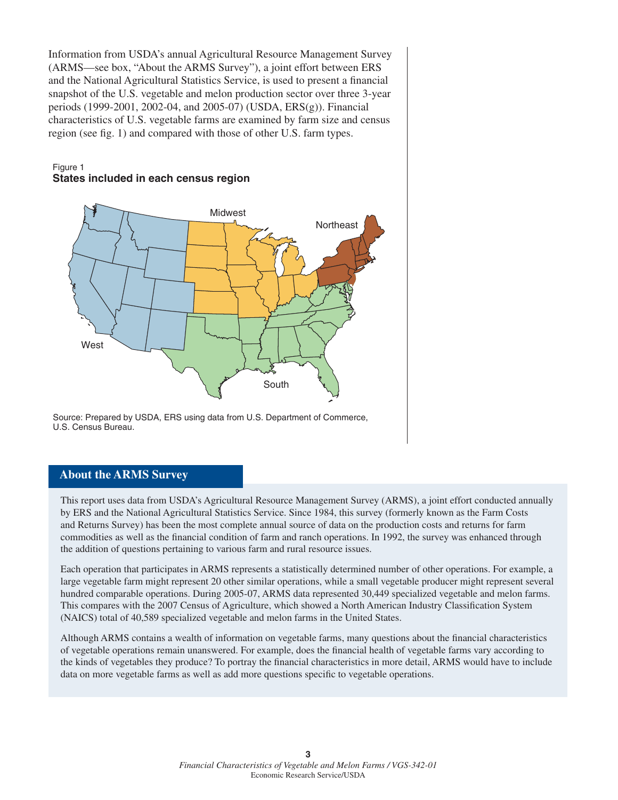Information from USDA's annual Agricultural Resource Management Survey (ARMS—see box, "About the ARMS Survey"), a joint effort between ERS and the National Agricultural Statistics Service, is used to present a financial snapshot of the U.S. vegetable and melon production sector over three 3-year periods (1999-2001, 2002-04, and 2005-07) (USDA, ERS(g)). Financial characteristics of U.S. vegetable farms are examined by farm size and census region (see fig. 1) and compared with those of other U.S. farm types.

## Figure 1 **States included in each census region**



Source: Prepared by USDA, ERS using data from U.S. Department of Commerce, U.S. Census Bureau.

## **About the ARMS Survey**

This report uses data from USDA's Agricultural Resource Management Survey (ARMS), a joint effort conducted annually by ERS and the National Agricultural Statistics Service. Since 1984, this survey (formerly known as the Farm Costs and Returns Survey) has been the most complete annual source of data on the production costs and returns for farm commodities as well as the financial condition of farm and ranch operations. In 1992, the survey was enhanced through the addition of questions pertaining to various farm and rural resource issues.

Each operation that participates in ARMS represents a statistically determined number of other operations. For example, a large vegetable farm might represent 20 other similar operations, while a small vegetable producer might represent several hundred comparable operations. During 2005-07, ARMS data represented 30,449 specialized vegetable and melon farms. This compares with the 2007 Census of Agriculture, which showed a North American Industry Classification System (NAICS) total of 40,589 specialized vegetable and melon farms in the United States.

Although ARMS contains a wealth of information on vegetable farms, many questions about the financial characteristics of vegetable operations remain unanswered. For example, does the financial health of vegetable farms vary according to the kinds of vegetables they produce? To portray the financial characteristics in more detail, ARMS would have to include data on more vegetable farms as well as add more questions specific to vegetable operations.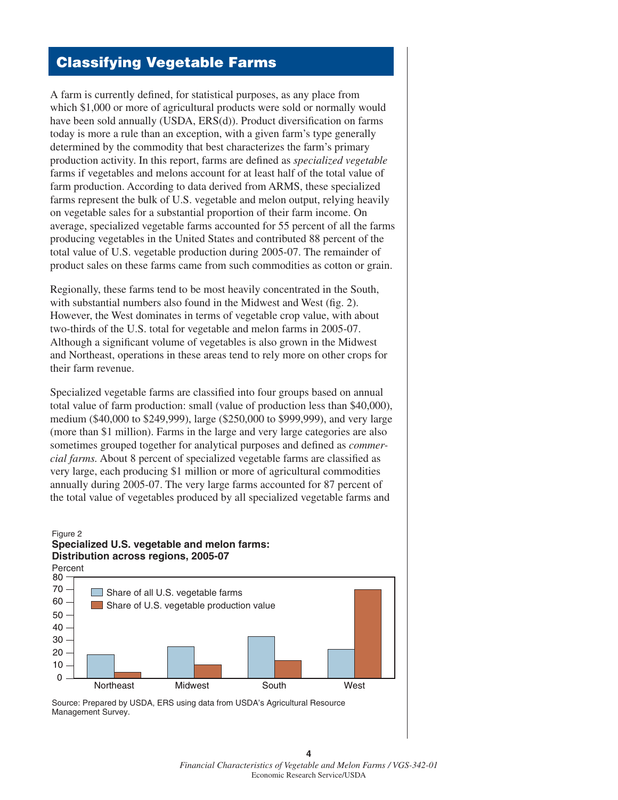# Classifying Vegetable Farms

A farm is currently defined, for statistical purposes, as any place from which \$1,000 or more of agricultural products were sold or normally would have been sold annually (USDA, ERS(d)). Product diversification on farms today is more a rule than an exception, with a given farm's type generally determined by the commodity that best characterizes the farm's primary production activity. In this report, farms are defined as *specialized vegetable* farms if vegetables and melons account for at least half of the total value of farm production. According to data derived from ARMS, these specialized farms represent the bulk of U.S. vegetable and melon output, relying heavily on vegetable sales for a substantial proportion of their farm income. On average, specialized vegetable farms accounted for 55 percent of all the farms producing vegetables in the United States and contributed 88 percent of the total value of U.S. vegetable production during 2005-07. The remainder of product sales on these farms came from such commodities as cotton or grain.

Regionally, these farms tend to be most heavily concentrated in the South, with substantial numbers also found in the Midwest and West (fig. 2). However, the West dominates in terms of vegetable crop value, with about two-thirds of the U.S. total for vegetable and melon farms in 2005-07. Although a significant volume of vegetables is also grown in the Midwest and Northeast, operations in these areas tend to rely more on other crops for their farm revenue.

Specialized vegetable farms are classified into four groups based on annual total value of farm production: small (value of production less than \$40,000), medium (\$40,000 to \$249,999), large (\$250,000 to \$999,999), and very large (more than \$1 million). Farms in the large and very large categories are also sometimes grouped together for analytical purposes and defined as *commercial farms.* About 8 percent of specialized vegetable farms are classified as very large, each producing \$1 million or more of agricultural commodities annually during 2005-07. The very large farms accounted for 87 percent of the total value of vegetables produced by all specialized vegetable farms and

## Figure 2 **Specialized U.S. vegetable and melon farms: Distribution across regions, 2005-07**



**4** *Financial Characteristics of Vegetable and Melon Farms / VGS-342-01* Economic Research Service/USDA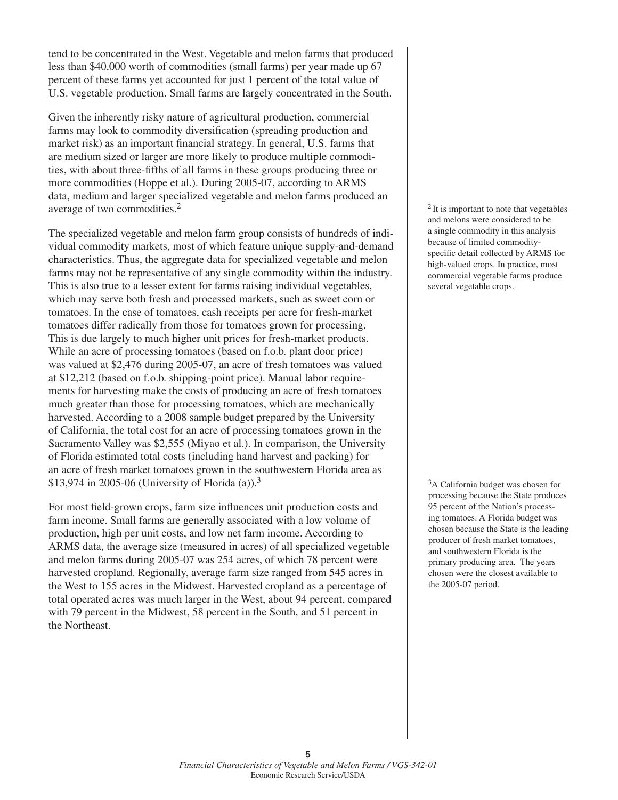tend to be concentrated in the West. Vegetable and melon farms that produced less than \$40,000 worth of commodities (small farms) per year made up 67 percent of these farms yet accounted for just 1 percent of the total value of U.S. vegetable production. Small farms are largely concentrated in the South.

Given the inherently risky nature of agricultural production, commercial farms may look to commodity diversification (spreading production and market risk) as an important financial strategy. In general, U.S. farms that are medium sized or larger are more likely to produce multiple commodities, with about three-fifths of all farms in these groups producing three or more commodities (Hoppe et al.). During 2005-07, according to ARMS data, medium and larger specialized vegetable and melon farms produced an average of two commodities.2

The specialized vegetable and melon farm group consists of hundreds of individual commodity markets, most of which feature unique supply-and-demand characteristics. Thus, the aggregate data for specialized vegetable and melon farms may not be representative of any single commodity within the industry. This is also true to a lesser extent for farms raising individual vegetables, which may serve both fresh and processed markets, such as sweet corn or tomatoes. In the case of tomatoes, cash receipts per acre for fresh-market tomatoes differ radically from those for tomatoes grown for processing. This is due largely to much higher unit prices for fresh-market products. While an acre of processing tomatoes (based on f.o.b. plant door price) was valued at \$2,476 during 2005-07, an acre of fresh tomatoes was valued at \$12,212 (based on f.o.b. shipping-point price). Manual labor requirements for harvesting make the costs of producing an acre of fresh tomatoes much greater than those for processing tomatoes, which are mechanically harvested. According to a 2008 sample budget prepared by the University of California, the total cost for an acre of processing tomatoes grown in the Sacramento Valley was \$2,555 (Miyao et al.). In comparison, the University of Florida estimated total costs (including hand harvest and packing) for an acre of fresh market tomatoes grown in the southwestern Florida area as \$13,974 in 2005-06 (University of Florida (a)).<sup>3</sup>

For most field-grown crops, farm size influences unit production costs and farm income. Small farms are generally associated with a low volume of production, high per unit costs, and low net farm income. According to ARMS data, the average size (measured in acres) of all specialized vegetable and melon farms during 2005-07 was 254 acres, of which 78 percent were harvested cropland. Regionally, average farm size ranged from 545 acres in the West to 155 acres in the Midwest. Harvested cropland as a percentage of total operated acres was much larger in the West, about 94 percent, compared with 79 percent in the Midwest, 58 percent in the South, and 51 percent in the Northeast.

 $2$  It is important to note that vegetables and melons were considered to be a single commodity in this analysis because of limited commodityspecific detail collected by ARMS for high-valued crops. In practice, most commercial vegetable farms produce several vegetable crops.

<sup>3</sup>A California budget was chosen for processing because the State produces 95 percent of the Nation's processing tomatoes. A Florida budget was chosen because the State is the leading producer of fresh market tomatoes, and southwestern Florida is the primary producing area. The years chosen were the closest available to the 2005-07 period.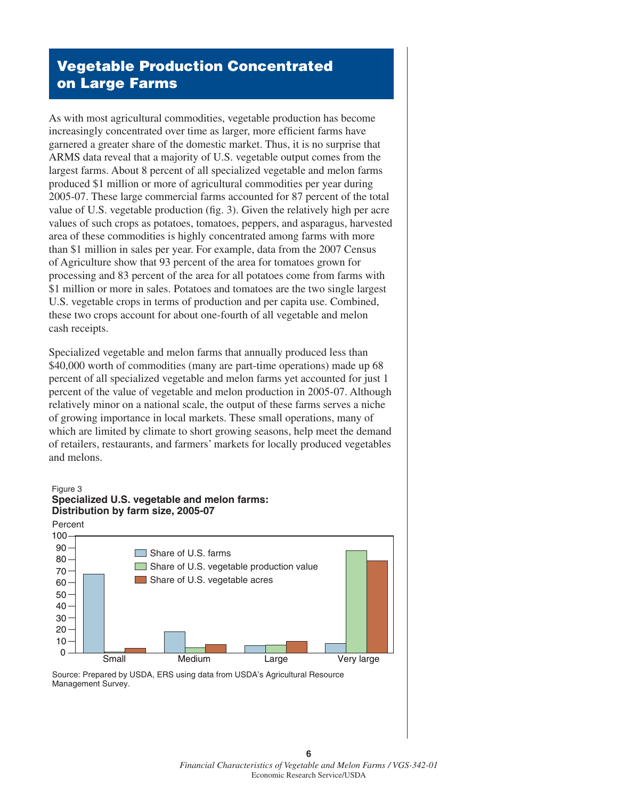# Vegetable Production Concentrated on Large Farms

As with most agricultural commodities, vegetable production has become increasingly concentrated over time as larger, more efficient farms have garnered a greater share of the domestic market. Thus, it is no surprise that ARMS data reveal that a majority of U.S. vegetable output comes from the largest farms. About 8 percent of all specialized vegetable and melon farms produced \$1 million or more of agricultural commodities per year during 2005-07. These large commercial farms accounted for 87 percent of the total value of U.S. vegetable production (fig. 3). Given the relatively high per acre values of such crops as potatoes, tomatoes, peppers, and asparagus, harvested area of these commodities is highly concentrated among farms with more than \$1 million in sales per year. For example, data from the 2007 Census of Agriculture show that 93 percent of the area for tomatoes grown for processing and 83 percent of the area for all potatoes come from farms with \$1 million or more in sales. Potatoes and tomatoes are the two single largest U.S. vegetable crops in terms of production and per capita use. Combined, these two crops account for about one-fourth of all vegetable and melon cash receipts.

Specialized vegetable and melon farms that annually produced less than \$40,000 worth of commodities (many are part-time operations) made up 68 percent of all specialized vegetable and melon farms yet accounted for just 1 percent of the value of vegetable and melon production in 2005-07. Although relatively minor on a national scale, the output of these farms serves a niche of growing importance in local markets. These small operations, many of which are limited by climate to short growing seasons, help meet the demand of retailers, restaurants, and farmers' markets for locally produced vegetables and melons.



Source: Prepared by USDA, ERS using data from USDA's Agricultural Resource Management Survey.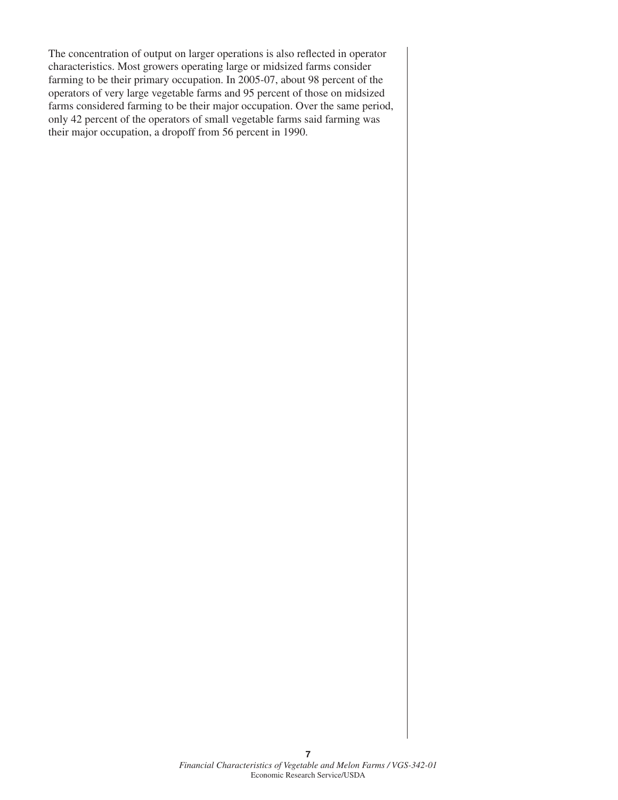The concentration of output on larger operations is also reflected in operator characteristics. Most growers operating large or midsized farms consider farming to be their primary occupation. In 2005-07, about 98 percent of the operators of very large vegetable farms and 95 percent of those on midsized farms considered farming to be their major occupation. Over the same period, only 42 percent of the operators of small vegetable farms said farming was their major occupation, a dropoff from 56 percent in 1990.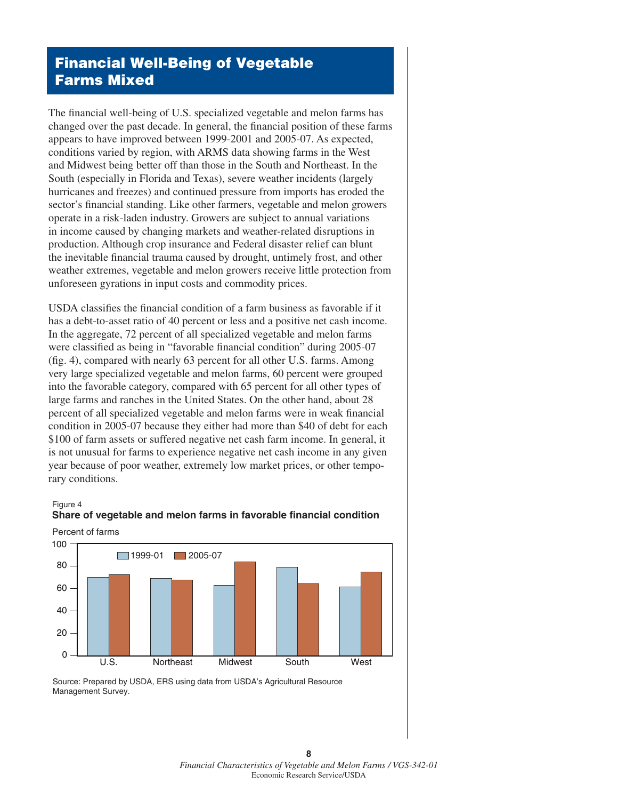# Financial Well-Being of Vegetable Farms Mixed

The financial well-being of U.S. specialized vegetable and melon farms has changed over the past decade. In general, the financial position of these farms appears to have improved between 1999-2001 and 2005-07. As expected, conditions varied by region, with ARMS data showing farms in the West and Midwest being better off than those in the South and Northeast. In the South (especially in Florida and Texas), severe weather incidents (largely hurricanes and freezes) and continued pressure from imports has eroded the sector's financial standing. Like other farmers, vegetable and melon growers operate in a risk-laden industry. Growers are subject to annual variations in income caused by changing markets and weather-related disruptions in production. Although crop insurance and Federal disaster relief can blunt the inevitable financial trauma caused by drought, untimely frost, and other weather extremes, vegetable and melon growers receive little protection from unforeseen gyrations in input costs and commodity prices.

USDA classifies the financial condition of a farm business as favorable if it has a debt-to-asset ratio of 40 percent or less and a positive net cash income. In the aggregate, 72 percent of all specialized vegetable and melon farms were classified as being in "favorable financial condition" during 2005-07 (fig. 4), compared with nearly 63 percent for all other U.S. farms. Among very large specialized vegetable and melon farms, 60 percent were grouped into the favorable category, compared with 65 percent for all other types of large farms and ranches in the United States. On the other hand, about 28 percent of all specialized vegetable and melon farms were in weak financial condition in 2005-07 because they either had more than \$40 of debt for each \$100 of farm assets or suffered negative net cash farm income. In general, it is not unusual for farms to experience negative net cash income in any given year because of poor weather, extremely low market prices, or other temporary conditions.





# **Share of vegetable and melon farms in favorable financial condition**

**8** *Financial Characteristics of Vegetable and Melon Farms / VGS-342-01* Economic Research Service/USDA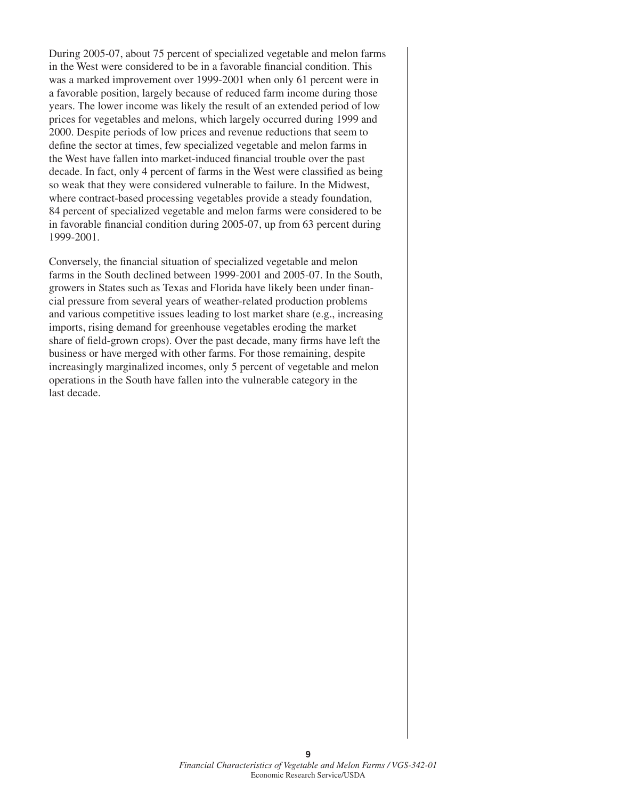During 2005-07, about 75 percent of specialized vegetable and melon farms in the West were considered to be in a favorable financial condition. This was a marked improvement over 1999-2001 when only 61 percent were in a favorable position, largely because of reduced farm income during those years. The lower income was likely the result of an extended period of low prices for vegetables and melons, which largely occurred during 1999 and 2000. Despite periods of low prices and revenue reductions that seem to define the sector at times, few specialized vegetable and melon farms in the West have fallen into market-induced financial trouble over the past decade. In fact, only 4 percent of farms in the West were classified as being so weak that they were considered vulnerable to failure. In the Midwest, where contract-based processing vegetables provide a steady foundation, 84 percent of specialized vegetable and melon farms were considered to be in favorable financial condition during 2005-07, up from 63 percent during 1999-2001.

Conversely, the financial situation of specialized vegetable and melon farms in the South declined between 1999-2001 and 2005-07. In the South, growers in States such as Texas and Florida have likely been under financial pressure from several years of weather-related production problems and various competitive issues leading to lost market share (e.g., increasing imports, rising demand for greenhouse vegetables eroding the market share of field-grown crops). Over the past decade, many firms have left the business or have merged with other farms. For those remaining, despite increasingly marginalized incomes, only 5 percent of vegetable and melon operations in the South have fallen into the vulnerable category in the last decade.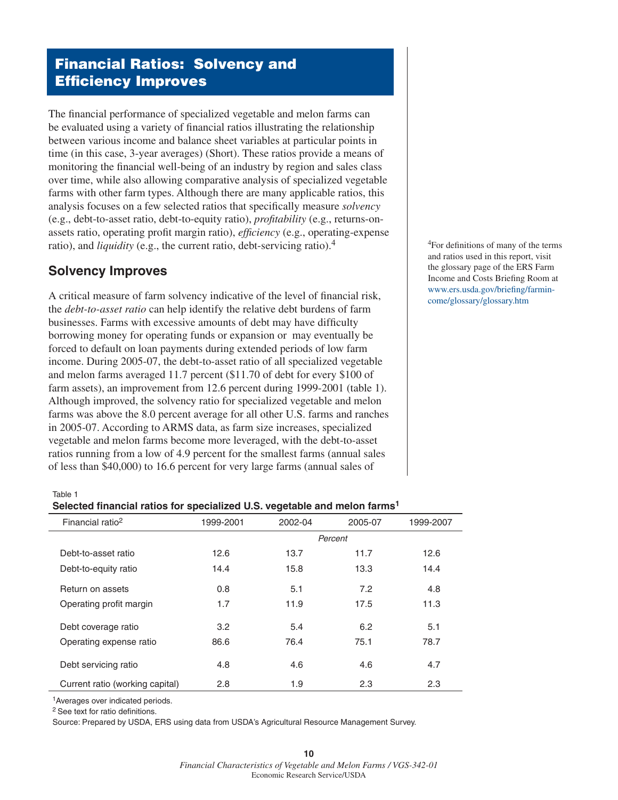# Financial Ratios: Solvency and Efficiency Improves

The financial performance of specialized vegetable and melon farms can be evaluated using a variety of financial ratios illustrating the relationship between various income and balance sheet variables at particular points in time (in this case, 3-year averages) (Short). These ratios provide a means of monitoring the financial well-being of an industry by region and sales class over time, while also allowing comparative analysis of specialized vegetable farms with other farm types. Although there are many applicable ratios, this analysis focuses on a few selected ratios that specifically measure *solvency* (e.g., debt-to-asset ratio, debt-to-equity ratio), *profitability* (e.g., returns-onassets ratio, operating profit margin ratio), *efficiency* (e.g., operating-expense ratio), and *liquidity* (e.g., the current ratio, debt-servicing ratio).<sup>4</sup>

## **Solvency Improves**

A critical measure of farm solvency indicative of the level of financial risk, the *debt-to-asset ratio* can help identify the relative debt burdens of farm businesses. Farms with excessive amounts of debt may have difficulty borrowing money for operating funds or expansion or may eventually be forced to default on loan payments during extended periods of low farm income. During 2005-07, the debt-to-asset ratio of all specialized vegetable and melon farms averaged 11.7 percent (\$11.70 of debt for every \$100 of farm assets), an improvement from 12.6 percent during 1999-2001 (table 1). Although improved, the solvency ratio for specialized vegetable and melon farms was above the 8.0 percent average for all other U.S. farms and ranches in 2005-07. According to ARMS data, as farm size increases, specialized vegetable and melon farms become more leveraged, with the debt-to-asset ratios running from a low of 4.9 percent for the smallest farms (annual sales of less than \$40,000) to 16.6 percent for very large farms (annual sales of

4For definitions of many of the terms and ratios used in this report, visit the glossary page of the ERS Farm Income and Costs Briefing Room at www.ers.usda.gov/briefing/farmincome/glossary/glossary.htm

Table 1

| Selected financial ratios for specialized U.S. vegetable and melon farms <sup>1</sup> |  |  |
|---------------------------------------------------------------------------------------|--|--|
|---------------------------------------------------------------------------------------|--|--|

| Financial ratio <sup>2</sup>    | 1999-2001 | 2002-04 | 2005-07 | 1999-2007 |
|---------------------------------|-----------|---------|---------|-----------|
|                                 |           |         | Percent |           |
| Debt-to-asset ratio             | 12.6      | 13.7    | 11.7    | 12.6      |
| Debt-to-equity ratio            | 14.4      | 15.8    | 13.3    | 14.4      |
| Return on assets                | 0.8       | 5.1     | 7.2     | 4.8       |
| Operating profit margin         | 1.7       | 11.9    | 17.5    | 11.3      |
| Debt coverage ratio             | 3.2       | 5.4     | 6.2     | 5.1       |
| Operating expense ratio         | 86.6      | 76.4    | 75.1    | 78.7      |
| Debt servicing ratio            | 4.8       | 4.6     | 4.6     | 4.7       |
| Current ratio (working capital) | 2.8       | 1.9     | 2.3     | 2.3       |

1Averages over indicated periods.

2 See text for ratio definitions.

Source: Prepared by USDA, ERS using data from USDA's Agricultural Resource Management Survey.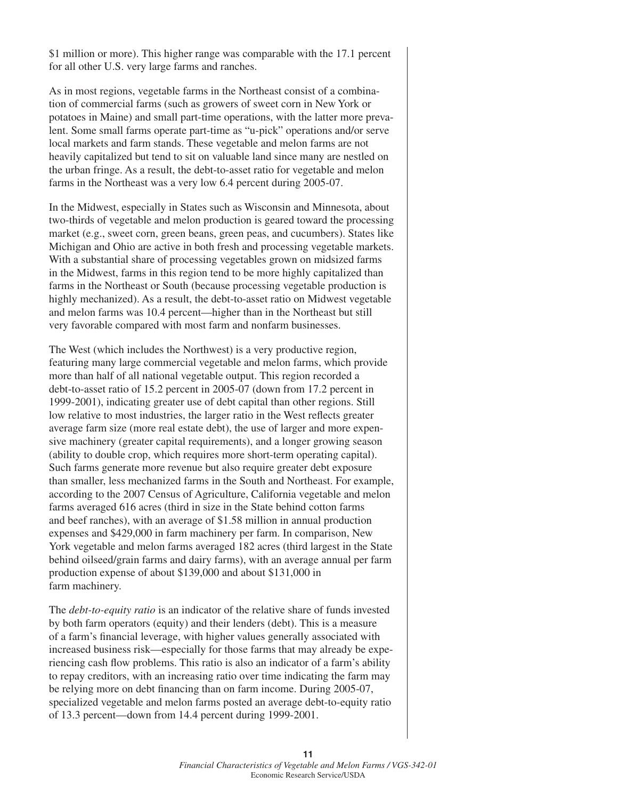\$1 million or more). This higher range was comparable with the 17.1 percent for all other U.S. very large farms and ranches.

As in most regions, vegetable farms in the Northeast consist of a combination of commercial farms (such as growers of sweet corn in New York or potatoes in Maine) and small part-time operations, with the latter more prevalent. Some small farms operate part-time as "u-pick" operations and/or serve local markets and farm stands. These vegetable and melon farms are not heavily capitalized but tend to sit on valuable land since many are nestled on the urban fringe. As a result, the debt-to-asset ratio for vegetable and melon farms in the Northeast was a very low 6.4 percent during 2005-07.

In the Midwest, especially in States such as Wisconsin and Minnesota, about two-thirds of vegetable and melon production is geared toward the processing market (e.g., sweet corn, green beans, green peas, and cucumbers). States like Michigan and Ohio are active in both fresh and processing vegetable markets. With a substantial share of processing vegetables grown on midsized farms in the Midwest, farms in this region tend to be more highly capitalized than farms in the Northeast or South (because processing vegetable production is highly mechanized). As a result, the debt-to-asset ratio on Midwest vegetable and melon farms was 10.4 percent—higher than in the Northeast but still very favorable compared with most farm and nonfarm businesses.

The West (which includes the Northwest) is a very productive region, featuring many large commercial vegetable and melon farms, which provide more than half of all national vegetable output. This region recorded a debt-to-asset ratio of 15.2 percent in 2005-07 (down from 17.2 percent in 1999-2001), indicating greater use of debt capital than other regions. Still low relative to most industries, the larger ratio in the West reflects greater average farm size (more real estate debt), the use of larger and more expensive machinery (greater capital requirements), and a longer growing season (ability to double crop, which requires more short-term operating capital). Such farms generate more revenue but also require greater debt exposure than smaller, less mechanized farms in the South and Northeast. For example, according to the 2007 Census of Agriculture, California vegetable and melon farms averaged 616 acres (third in size in the State behind cotton farms and beef ranches), with an average of \$1.58 million in annual production expenses and \$429,000 in farm machinery per farm. In comparison, New York vegetable and melon farms averaged 182 acres (third largest in the State behind oilseed/grain farms and dairy farms), with an average annual per farm production expense of about \$139,000 and about \$131,000 in farm machinery.

The *debt-to-equity ratio* is an indicator of the relative share of funds invested by both farm operators (equity) and their lenders (debt). This is a measure of a farm's financial leverage, with higher values generally associated with increased business risk—especially for those farms that may already be experiencing cash flow problems. This ratio is also an indicator of a farm's ability to repay creditors, with an increasing ratio over time indicating the farm may be relying more on debt financing than on farm income. During 2005-07, specialized vegetable and melon farms posted an average debt-to-equity ratio of 13.3 percent—down from 14.4 percent during 1999-2001.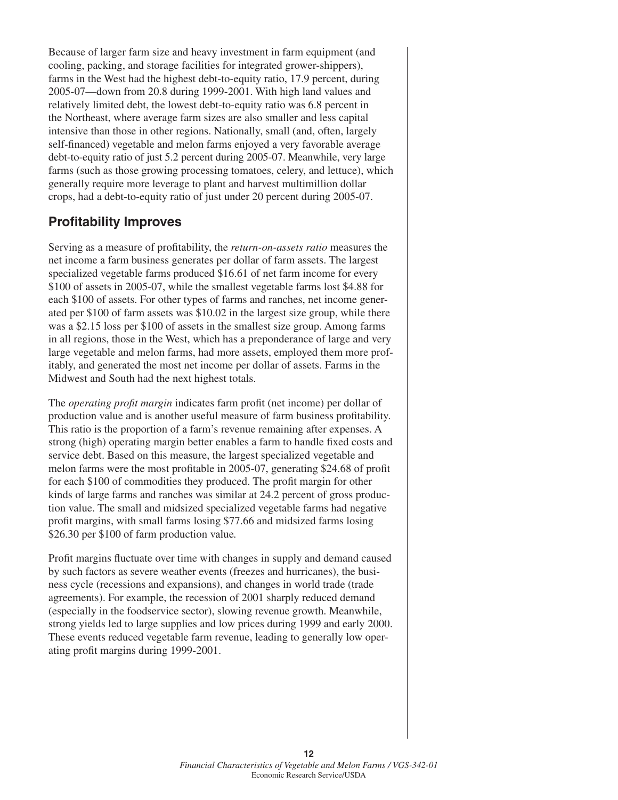Because of larger farm size and heavy investment in farm equipment (and cooling, packing, and storage facilities for integrated grower-shippers), farms in the West had the highest debt-to-equity ratio, 17.9 percent, during 2005-07—down from 20.8 during 1999-2001. With high land values and relatively limited debt, the lowest debt-to-equity ratio was 6.8 percent in the Northeast, where average farm sizes are also smaller and less capital intensive than those in other regions. Nationally, small (and, often, largely self-financed) vegetable and melon farms enjoyed a very favorable average debt-to-equity ratio of just 5.2 percent during 2005-07. Meanwhile, very large farms (such as those growing processing tomatoes, celery, and lettuce), which generally require more leverage to plant and harvest multimillion dollar crops, had a debt-to-equity ratio of just under 20 percent during 2005-07.

## **Profitability Improves**

Serving as a measure of profitability, the *return-on-assets ratio* measures the net income a farm business generates per dollar of farm assets. The largest specialized vegetable farms produced \$16.61 of net farm income for every \$100 of assets in 2005-07, while the smallest vegetable farms lost \$4.88 for each \$100 of assets. For other types of farms and ranches, net income generated per \$100 of farm assets was \$10.02 in the largest size group, while there was a \$2.15 loss per \$100 of assets in the smallest size group. Among farms in all regions, those in the West, which has a preponderance of large and very large vegetable and melon farms, had more assets, employed them more profitably, and generated the most net income per dollar of assets. Farms in the Midwest and South had the next highest totals.

The *operating profit margin* indicates farm profit (net income) per dollar of production value and is another useful measure of farm business profitability. This ratio is the proportion of a farm's revenue remaining after expenses. A strong (high) operating margin better enables a farm to handle fixed costs and service debt. Based on this measure, the largest specialized vegetable and melon farms were the most profitable in 2005-07, generating \$24.68 of profit for each \$100 of commodities they produced. The profit margin for other kinds of large farms and ranches was similar at 24.2 percent of gross production value. The small and midsized specialized vegetable farms had negative profit margins, with small farms losing \$77.66 and midsized farms losing \$26.30 per \$100 of farm production value*.*

Profit margins fluctuate over time with changes in supply and demand caused by such factors as severe weather events (freezes and hurricanes), the business cycle (recessions and expansions), and changes in world trade (trade agreements). For example, the recession of 2001 sharply reduced demand (especially in the foodservice sector), slowing revenue growth. Meanwhile, strong yields led to large supplies and low prices during 1999 and early 2000. These events reduced vegetable farm revenue, leading to generally low operating profit margins during 1999-2001.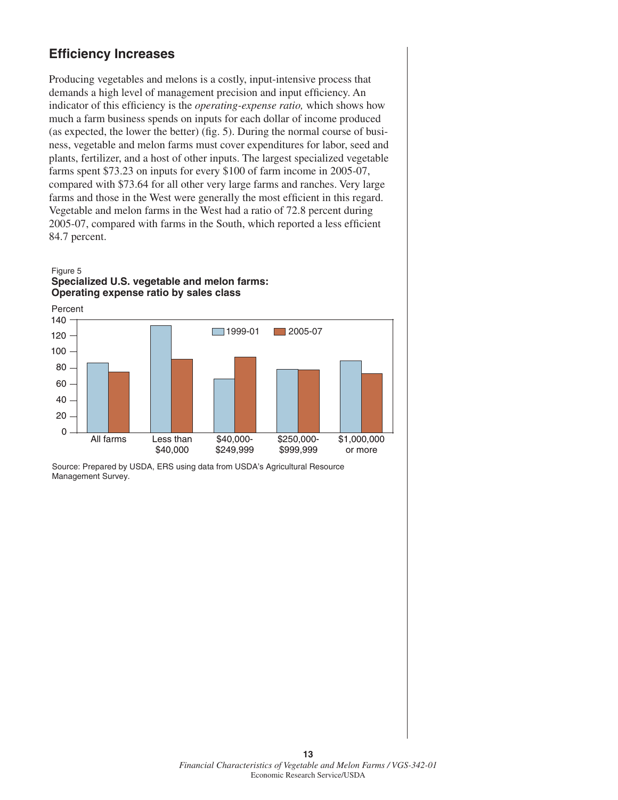## **Efficiency Increases**

Producing vegetables and melons is a costly, input-intensive process that demands a high level of management precision and input efficiency. An indicator of this efficiency is the *operating-expense ratio,* which shows how much a farm business spends on inputs for each dollar of income produced (as expected, the lower the better) (fig. 5). During the normal course of business, vegetable and melon farms must cover expenditures for labor, seed and plants, fertilizer, and a host of other inputs. The largest specialized vegetable farms spent \$73.23 on inputs for every \$100 of farm income in 2005-07, compared with \$73.64 for all other very large farms and ranches. Very large farms and those in the West were generally the most efficient in this regard. Vegetable and melon farms in the West had a ratio of 72.8 percent during 2005-07, compared with farms in the South, which reported a less efficient 84.7 percent.

#### Figure 5 **Specialized U.S. vegetable and melon farms: Operating expense ratio by sales class**

0 20 40 60 80 100 120 140 1999-01 2005-07 Percent All farms Less than \$40,000 \$40,000- \$249,999 \$250,000- \$999,999 \$1,000,000 or more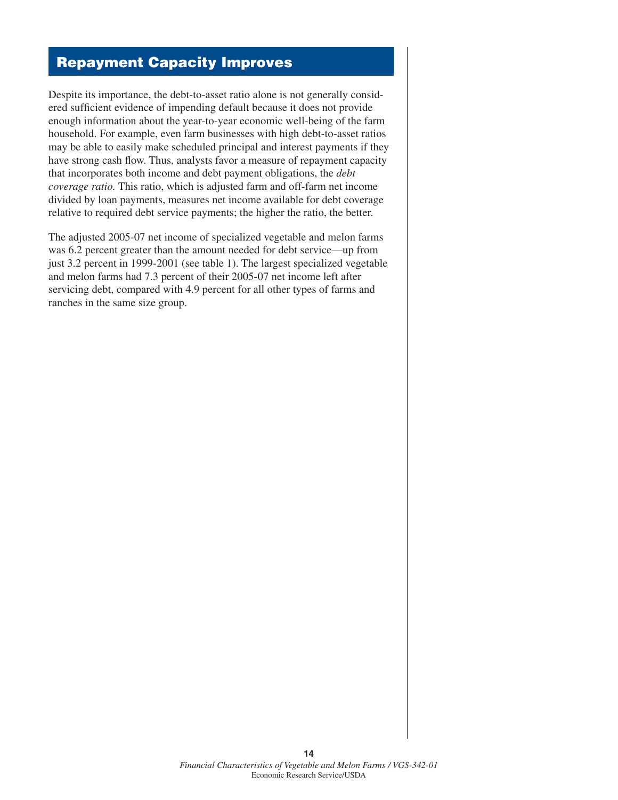# Repayment Capacity Improves

Despite its importance, the debt-to-asset ratio alone is not generally considered sufficient evidence of impending default because it does not provide enough information about the year-to-year economic well-being of the farm household. For example, even farm businesses with high debt-to-asset ratios may be able to easily make scheduled principal and interest payments if they have strong cash flow. Thus, analysts favor a measure of repayment capacity that incorporates both income and debt payment obligations, the *debt coverage ratio.* This ratio, which is adjusted farm and off-farm net income divided by loan payments, measures net income available for debt coverage relative to required debt service payments; the higher the ratio, the better.

The adjusted 2005-07 net income of specialized vegetable and melon farms was 6.2 percent greater than the amount needed for debt service—up from just 3.2 percent in 1999-2001 (see table 1). The largest specialized vegetable and melon farms had 7.3 percent of their 2005-07 net income left after servicing debt, compared with 4.9 percent for all other types of farms and ranches in the same size group.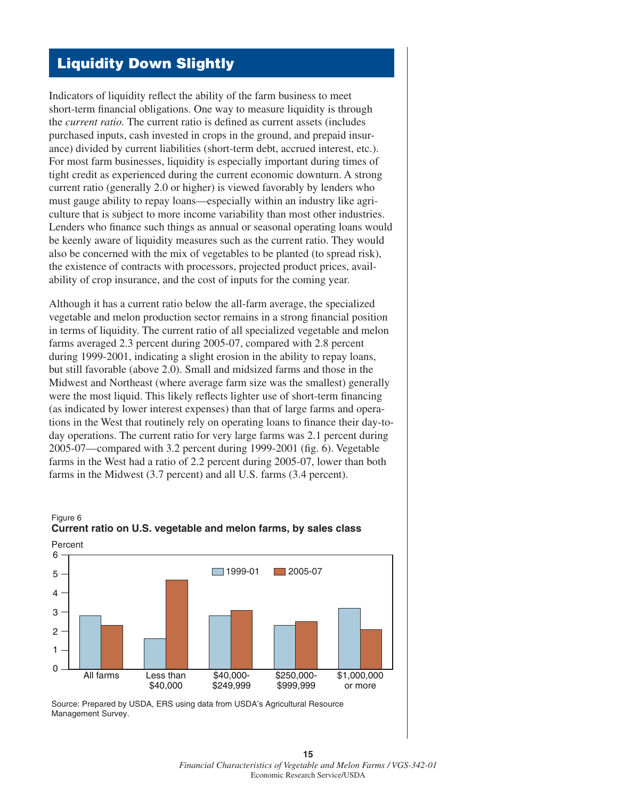## Liquidity Down Slightly

Indicators of liquidity reflect the ability of the farm business to meet short-term financial obligations. One way to measure liquidity is through the *current ratio.* The current ratio is defined as current assets (includes purchased inputs, cash invested in crops in the ground, and prepaid insurance) divided by current liabilities (short-term debt, accrued interest, etc.). For most farm businesses, liquidity is especially important during times of tight credit as experienced during the current economic downturn. A strong current ratio (generally 2.0 or higher) is viewed favorably by lenders who must gauge ability to repay loans—especially within an industry like agriculture that is subject to more income variability than most other industries. Lenders who finance such things as annual or seasonal operating loans would be keenly aware of liquidity measures such as the current ratio. They would also be concerned with the mix of vegetables to be planted (to spread risk), the existence of contracts with processors, projected product prices, availability of crop insurance, and the cost of inputs for the coming year.

Although it has a current ratio below the all-farm average, the specialized vegetable and melon production sector remains in a strong financial position in terms of liquidity. The current ratio of all specialized vegetable and melon farms averaged 2.3 percent during 2005-07, compared with 2.8 percent during 1999-2001, indicating a slight erosion in the ability to repay loans, but still favorable (above 2.0). Small and midsized farms and those in the Midwest and Northeast (where average farm size was the smallest) generally were the most liquid. This likely reflects lighter use of short-term financing (as indicated by lower interest expenses) than that of large farms and operations in the West that routinely rely on operating loans to finance their day-today operations. The current ratio for very large farms was 2.1 percent during 2005-07—compared with 3.2 percent during 1999-2001 (fig. 6). Vegetable farms in the West had a ratio of 2.2 percent during 2005-07, lower than both farms in the Midwest (3.7 percent) and all U.S. farms (3.4 percent).



# **Current ratio on U.S. vegetable and melon farms, by sales class**

Figure 6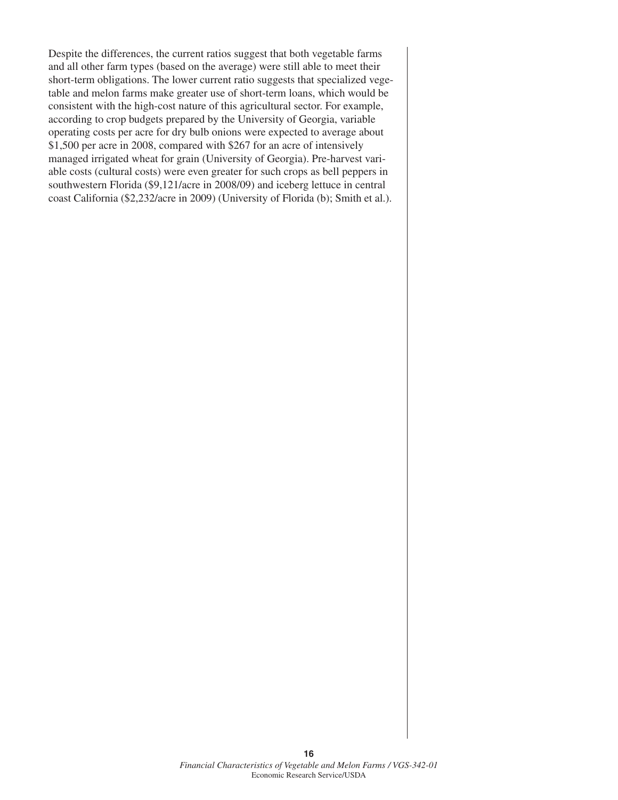Despite the differences, the current ratios suggest that both vegetable farms and all other farm types (based on the average) were still able to meet their short-term obligations. The lower current ratio suggests that specialized vegetable and melon farms make greater use of short-term loans, which would be consistent with the high-cost nature of this agricultural sector. For example, according to crop budgets prepared by the University of Georgia, variable operating costs per acre for dry bulb onions were expected to average about \$1,500 per acre in 2008, compared with \$267 for an acre of intensively managed irrigated wheat for grain (University of Georgia). Pre-harvest variable costs (cultural costs) were even greater for such crops as bell peppers in southwestern Florida (\$9,121/acre in 2008/09) and iceberg lettuce in central coast California (\$2,232/acre in 2009) (University of Florida (b); Smith et al.).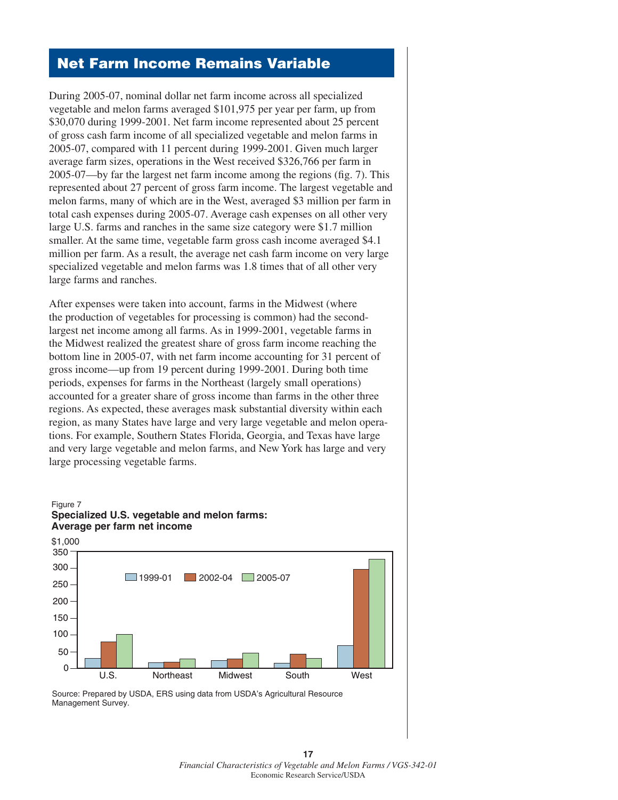## Net Farm Income Remains Variable

During 2005-07, nominal dollar net farm income across all specialized vegetable and melon farms averaged \$101,975 per year per farm, up from \$30,070 during 1999-2001. Net farm income represented about 25 percent of gross cash farm income of all specialized vegetable and melon farms in 2005-07, compared with 11 percent during 1999-2001. Given much larger average farm sizes, operations in the West received \$326,766 per farm in 2005-07—by far the largest net farm income among the regions (fig. 7). This represented about 27 percent of gross farm income. The largest vegetable and melon farms, many of which are in the West, averaged \$3 million per farm in total cash expenses during 2005-07. Average cash expenses on all other very large U.S. farms and ranches in the same size category were \$1.7 million smaller. At the same time, vegetable farm gross cash income averaged \$4.1 million per farm. As a result, the average net cash farm income on very large specialized vegetable and melon farms was 1.8 times that of all other very large farms and ranches.

After expenses were taken into account, farms in the Midwest (where the production of vegetables for processing is common) had the secondlargest net income among all farms. As in 1999-2001, vegetable farms in the Midwest realized the greatest share of gross farm income reaching the bottom line in 2005-07, with net farm income accounting for 31 percent of gross income—up from 19 percent during 1999-2001. During both time periods, expenses for farms in the Northeast (largely small operations) accounted for a greater share of gross income than farms in the other three regions. As expected, these averages mask substantial diversity within each region, as many States have large and very large vegetable and melon operations. For example, Southern States Florida, Georgia, and Texas have large and very large vegetable and melon farms, and New York has large and very large processing vegetable farms.

#### Figure 7 **Specialized U.S. vegetable and melon farms: Average per farm net income**



**17**  *Financial Characteristics of Vegetable and Melon Farms / VGS-342-01* Economic Research Service/USDA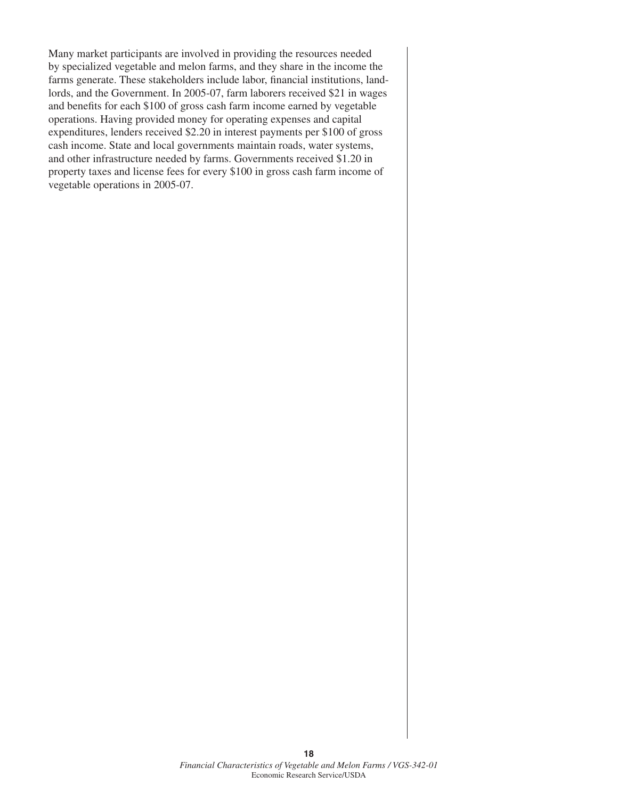Many market participants are involved in providing the resources needed by specialized vegetable and melon farms, and they share in the income the farms generate. These stakeholders include labor, financial institutions, landlords, and the Government. In 2005-07, farm laborers received \$21 in wages and benefits for each \$100 of gross cash farm income earned by vegetable operations. Having provided money for operating expenses and capital expenditures, lenders received \$2.20 in interest payments per \$100 of gross cash income. State and local governments maintain roads, water systems, and other infrastructure needed by farms. Governments received \$1.20 in property taxes and license fees for every \$100 in gross cash farm income of vegetable operations in 2005-07.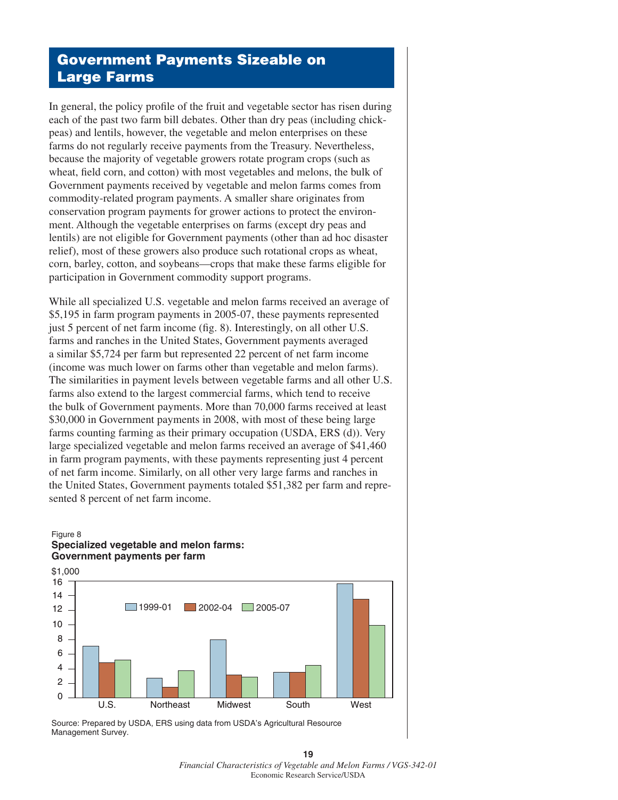## Government Payments Sizeable on Large Farms

In general, the policy profile of the fruit and vegetable sector has risen during each of the past two farm bill debates. Other than dry peas (including chickpeas) and lentils, however, the vegetable and melon enterprises on these farms do not regularly receive payments from the Treasury. Nevertheless, because the majority of vegetable growers rotate program crops (such as wheat, field corn, and cotton) with most vegetables and melons, the bulk of Government payments received by vegetable and melon farms comes from commodity-related program payments. A smaller share originates from conservation program payments for grower actions to protect the environment. Although the vegetable enterprises on farms (except dry peas and lentils) are not eligible for Government payments (other than ad hoc disaster relief), most of these growers also produce such rotational crops as wheat, corn, barley, cotton, and soybeans—crops that make these farms eligible for participation in Government commodity support programs.

While all specialized U.S. vegetable and melon farms received an average of \$5,195 in farm program payments in 2005-07, these payments represented just 5 percent of net farm income (fig. 8). Interestingly, on all other U.S. farms and ranches in the United States, Government payments averaged a similar \$5,724 per farm but represented 22 percent of net farm income (income was much lower on farms other than vegetable and melon farms). The similarities in payment levels between vegetable farms and all other U.S. farms also extend to the largest commercial farms, which tend to receive the bulk of Government payments. More than 70,000 farms received at least \$30,000 in Government payments in 2008, with most of these being large farms counting farming as their primary occupation (USDA, ERS (d)). Very large specialized vegetable and melon farms received an average of \$41,460 in farm program payments, with these payments representing just 4 percent of net farm income. Similarly, on all other very large farms and ranches in the United States, Government payments totaled \$51,382 per farm and represented 8 percent of net farm income.

#### Figure 8 **Specialized vegetable and melon farms: Government payments per farm**



**19**  *Financial Characteristics of Vegetable and Melon Farms / VGS-342-01* Economic Research Service/USDA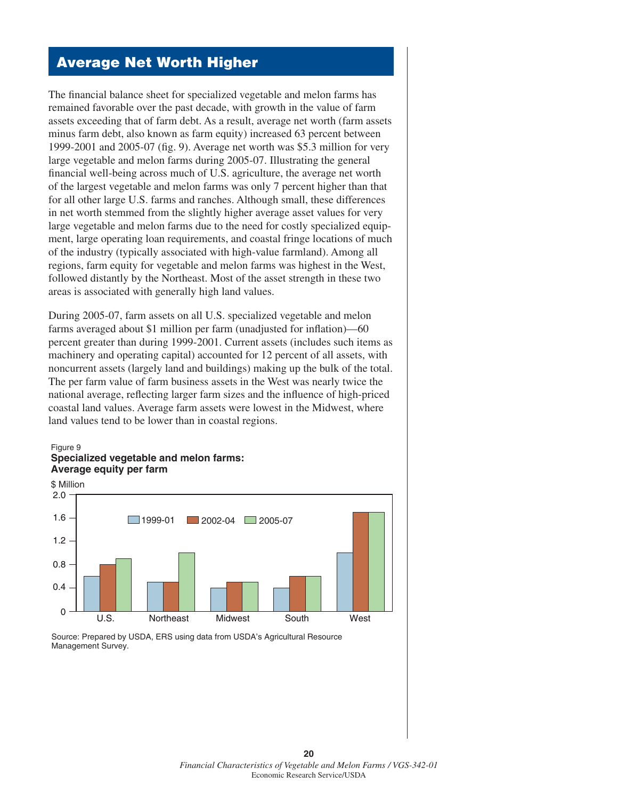# Average Net Worth Higher

The financial balance sheet for specialized vegetable and melon farms has remained favorable over the past decade, with growth in the value of farm assets exceeding that of farm debt. As a result, average net worth (farm assets minus farm debt, also known as farm equity) increased 63 percent between 1999-2001 and 2005-07 (fig. 9). Average net worth was \$5.3 million for very large vegetable and melon farms during 2005-07. Illustrating the general financial well-being across much of U.S. agriculture, the average net worth of the largest vegetable and melon farms was only 7 percent higher than that for all other large U.S. farms and ranches. Although small, these differences in net worth stemmed from the slightly higher average asset values for very large vegetable and melon farms due to the need for costly specialized equipment, large operating loan requirements, and coastal fringe locations of much of the industry (typically associated with high-value farmland). Among all regions, farm equity for vegetable and melon farms was highest in the West, followed distantly by the Northeast. Most of the asset strength in these two areas is associated with generally high land values.

During 2005-07, farm assets on all U.S. specialized vegetable and melon farms averaged about \$1 million per farm (unadjusted for inflation)—60 percent greater than during 1999-2001. Current assets (includes such items as machinery and operating capital) accounted for 12 percent of all assets, with noncurrent assets (largely land and buildings) making up the bulk of the total. The per farm value of farm business assets in the West was nearly twice the national average, reflecting larger farm sizes and the influence of high-priced coastal land values. Average farm assets were lowest in the Midwest, where land values tend to be lower than in coastal regions.

#### Figure 9 **Specialized vegetable and melon farms: Average equity per farm**



Source: Prepared by USDA, ERS using data from USDA's Agricultural Resource Management Survey.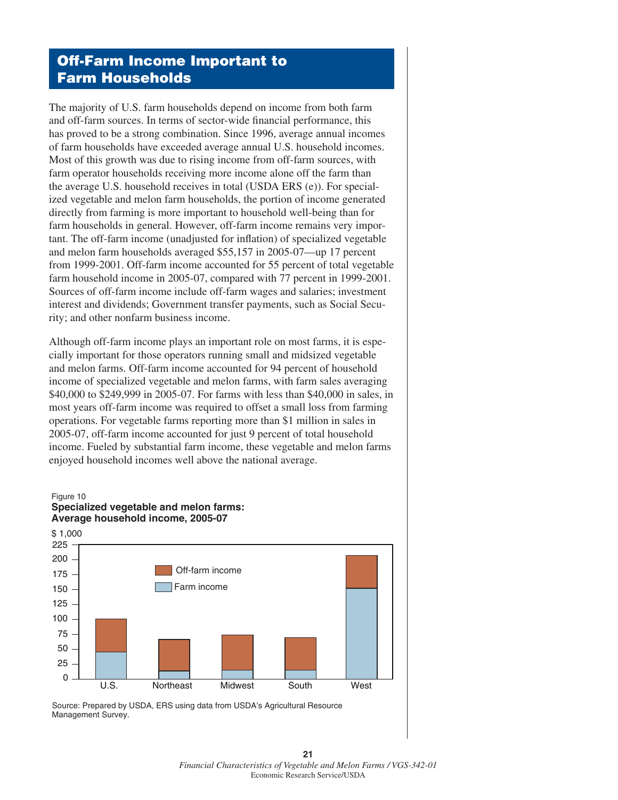# Off-Farm Income Important to Farm Households

The majority of U.S. farm households depend on income from both farm and off-farm sources. In terms of sector-wide financial performance, this has proved to be a strong combination. Since 1996, average annual incomes of farm households have exceeded average annual U.S. household incomes. Most of this growth was due to rising income from off-farm sources, with farm operator households receiving more income alone off the farm than the average U.S. household receives in total (USDA ERS (e)). For specialized vegetable and melon farm households, the portion of income generated directly from farming is more important to household well-being than for farm households in general. However, off-farm income remains very important. The off-farm income (unadjusted for inflation) of specialized vegetable and melon farm households averaged \$55,157 in 2005-07—up 17 percent from 1999-2001. Off-farm income accounted for 55 percent of total vegetable farm household income in 2005-07, compared with 77 percent in 1999-2001. Sources of off-farm income include off-farm wages and salaries; investment interest and dividends; Government transfer payments, such as Social Security; and other nonfarm business income.

Although off-farm income plays an important role on most farms, it is especially important for those operators running small and midsized vegetable and melon farms. Off-farm income accounted for 94 percent of household income of specialized vegetable and melon farms, with farm sales averaging \$40,000 to \$249,999 in 2005-07. For farms with less than \$40,000 in sales, in most years off-farm income was required to offset a small loss from farming operations. For vegetable farms reporting more than \$1 million in sales in 2005-07, off-farm income accounted for just 9 percent of total household income. Fueled by substantial farm income, these vegetable and melon farms enjoyed household incomes well above the national average.

#### Figure 10





**21**  *Financial Characteristics of Vegetable and Melon Farms / VGS-342-01* Economic Research Service/USDA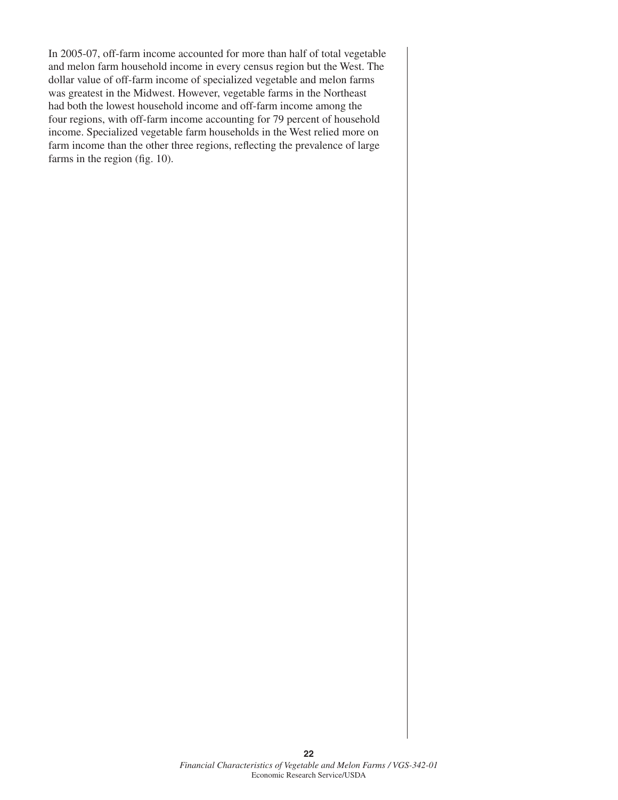In 2005-07, off-farm income accounted for more than half of total vegetable and melon farm household income in every census region but the West. The dollar value of off-farm income of specialized vegetable and melon farms was greatest in the Midwest. However, vegetable farms in the Northeast had both the lowest household income and off-farm income among the four regions, with off-farm income accounting for 79 percent of household income. Specialized vegetable farm households in the West relied more on farm income than the other three regions, reflecting the prevalence of large farms in the region (fig. 10).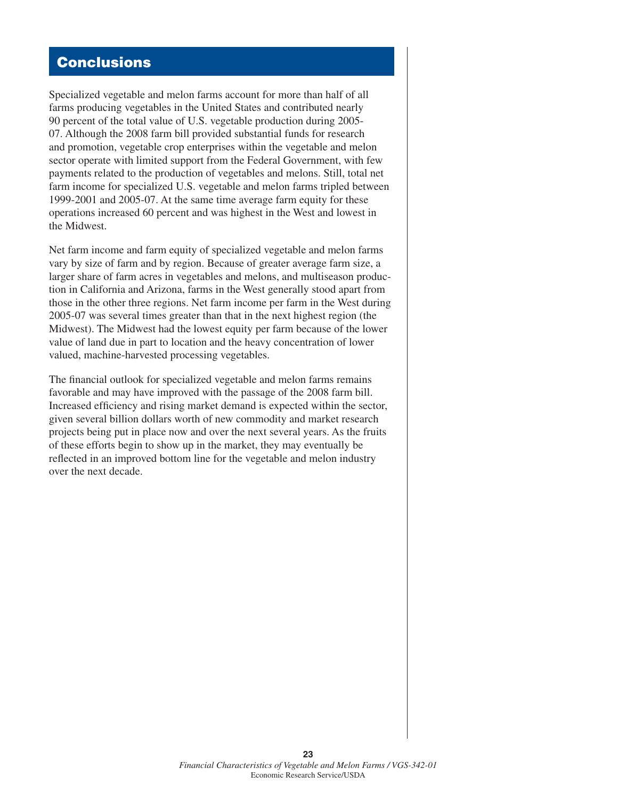# **Conclusions**

Specialized vegetable and melon farms account for more than half of all farms producing vegetables in the United States and contributed nearly 90 percent of the total value of U.S. vegetable production during 2005- 07. Although the 2008 farm bill provided substantial funds for research and promotion, vegetable crop enterprises within the vegetable and melon sector operate with limited support from the Federal Government, with few payments related to the production of vegetables and melons. Still, total net farm income for specialized U.S. vegetable and melon farms tripled between 1999-2001 and 2005-07. At the same time average farm equity for these operations increased 60 percent and was highest in the West and lowest in the Midwest.

Net farm income and farm equity of specialized vegetable and melon farms vary by size of farm and by region. Because of greater average farm size, a larger share of farm acres in vegetables and melons, and multiseason production in California and Arizona, farms in the West generally stood apart from those in the other three regions. Net farm income per farm in the West during 2005-07 was several times greater than that in the next highest region (the Midwest). The Midwest had the lowest equity per farm because of the lower value of land due in part to location and the heavy concentration of lower valued, machine-harvested processing vegetables.

The financial outlook for specialized vegetable and melon farms remains favorable and may have improved with the passage of the 2008 farm bill. Increased efficiency and rising market demand is expected within the sector, given several billion dollars worth of new commodity and market research projects being put in place now and over the next several years. As the fruits of these efforts begin to show up in the market, they may eventually be reflected in an improved bottom line for the vegetable and melon industry over the next decade.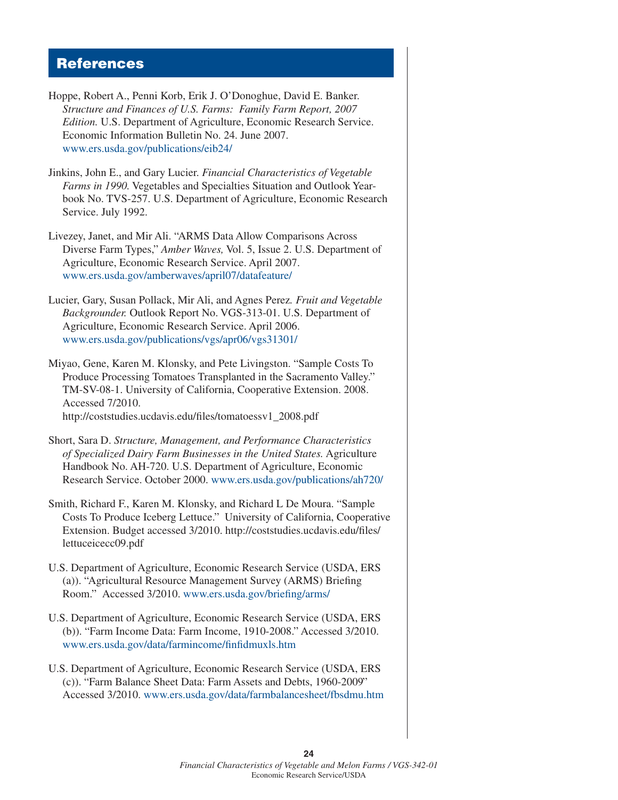## References

- Hoppe, Robert A., Penni Korb, Erik J. O'Donoghue, David E. Banker. *Structure and Finances of U.S. Farms: Family Farm Report, 2007 Edition.* U.S. Department of Agriculture, Economic Research Service. Economic Information Bulletin No. 24. June 2007. [www.ers.usda.gov/publications/eib24/](http://www.ers.usda.gov/publications/eib24/)
- Jinkins, John E., and Gary Lucier. *Financial Characteristics of Vegetable Farms in 1990.* Vegetables and Specialties Situation and Outlook Yearbook No. TVS-257. U.S. Department of Agriculture, Economic Research Service. July 1992.
- Livezey, Janet, and Mir Ali. "ARMS Data Allow Comparisons Across Diverse Farm Types," *Amber Waves,* Vol. 5, Issue 2. U.S. Department of Agriculture, Economic Research Service. April 2007. [www.ers.usda.gov/amberwaves/april07/datafeature/](http://www.ers.usda.gov/amberwaves/april07/datafeature/)
- Lucier, Gary, Susan Pollack, Mir Ali, and Agnes Perez*. Fruit and Vegetable Backgrounder.* Outlook Report No. VGS-313-01. U.S. Department of Agriculture, Economic Research Service. April 2006. [www.ers.usda.gov/publications/vgs/apr06/vgs31301/](http://www.ers.usda.gov/publications/vgs/apr06/vgs31301)
- Miyao, Gene, Karen M. Klonsky, and Pete Livingston. "Sample Costs To Produce Processing Tomatoes Transplanted in the Sacramento Valley." TM-SV-08-1. University of California, Cooperative Extension. 2008. Accessed 7/2010. http://coststudies.ucdavis.edu/files/tomatoessv1\_2008.pdf
- Short, Sara D. *Structure, Management, and Performance Characteristics of Specialized Dairy Farm Businesses in the United States.* Agriculture Handbook No. AH-720. U.S. Department of Agriculture, Economic Research Service. October 2000. [www.ers.usda.gov/publications/ah720/](http://www.ers.usda.gov/publications/ah720/)
- Smith, Richard F., Karen M. Klonsky, and Richard L De Moura. "Sample Costs To Produce Iceberg Lettuce." University of California, Cooperative Extension. Budget accessed 3/2010. http://coststudies.ucdavis.edu/files/ lettuceicecc09.pdf
- U.S. Department of Agriculture, Economic Research Service (USDA, ERS (a)). "Agricultural Resource Management Survey (ARMS) Briefing Room."Accessed 3/2010. [www.ers.usda.gov/briefing/arms/](http://www.ers.usda.gov/briefing/arms/)
- U.S. Department of Agriculture, Economic Research Service (USDA, ERS (b)). "Farm Income Data: Farm Income, 1910-2008." Accessed 3/2010. [www.ers.usda.gov/data/farmincome/finfidmuxls.htm](http://www.ers.usda.gov/data/farmincome/finfidmuxls.htm)
- U.S. Department of Agriculture, Economic Research Service (USDA, ERS (c)). "Farm Balance Sheet Data: Farm Assets and Debts, 1960-2009" Accessed 3/2010. [www.ers.usda.gov/data/farmbalancesheet/fbsdmu.htm](http://www.ers.usda.gov/data/farmbalancesheet/fbsdmu.htm)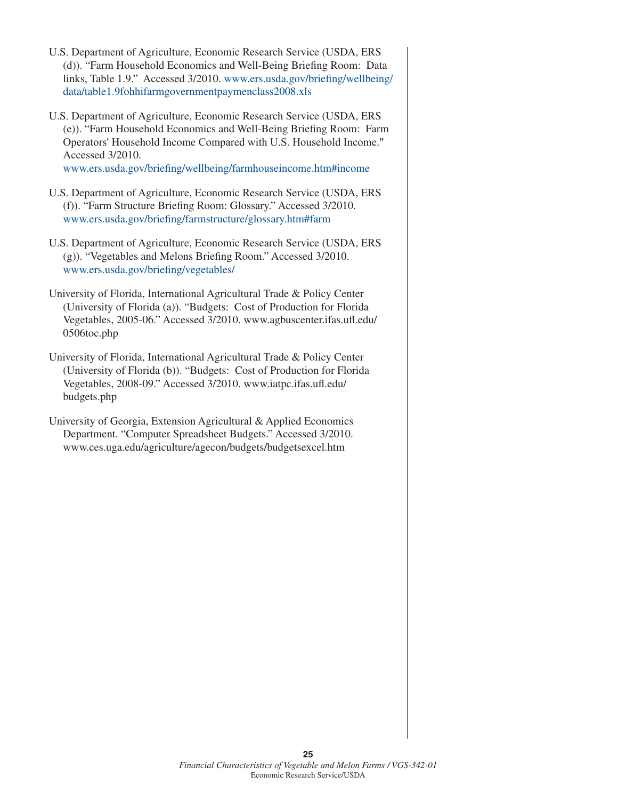- U.S. Department of Agriculture, Economic Research Service (USDA, ERS (d)). "Farm Household Economics and Well-Being Briefing Room: Data links, Table 1.9." Accessed 3/2010. [www.ers.usda.gov/briefing/wellbeing/](http://www.ers.usda.gov/briefing/wellbeing/data/table1.9fohhifarmgovernmentpaymenclass2008.xls) [data/table1.9fohhifarmgovernmentpaymenclass2008.xls](http://www.ers.usda.gov/briefing/wellbeing/data/table1.9fohhifarmgovernmentpaymenclass2008.xls)
- U.S. Department of Agriculture, Economic Research Service (USDA, ERS (e)). "Farm Household Economics and Well-Being Briefing Room: Farm Operators' Household Income Compared with U.S. Household Income." Accessed 3/2010.

[www.ers.usda.gov/briefing/wellbeing/farmhouseincome.htm#income](http://www.ers.usda.gov/briefing/wellbeing/farmhouseincome.htm#income)

- U.S. Department of Agriculture, Economic Research Service (USDA, ERS (f)). "Farm Structure Briefing Room: Glossary." Accessed 3/2010. [www.ers.usda.gov/briefing/farmstructure/glossary.htm#farm](http://www.ers.usda.gov/briefing/farmstructure/glossary.htm#farm)
- U.S. Department of Agriculture, Economic Research Service (USDA, ERS (g)). "Vegetables and Melons Briefing Room." Accessed 3/2010. [www.ers.usda.gov/briefing/vegetables/](http://www.ers.usda.gov/briefing/vegetables/)
- University of Florida, International Agricultural Trade & Policy Center (University of Florida (a)). "Budgets: Cost of Production for Florida Vegetables, 2005-06." Accessed 3/2010. www.agbuscenter.ifas.ufl.edu/ 0506toc.php
- University of Florida, International Agricultural Trade & Policy Center (University of Florida (b)). "Budgets: Cost of Production for Florida Vegetables, 2008-09." Accessed 3/2010. www.iatpc.ifas.ufl.edu/ budgets.php
- University of Georgia, Extension Agricultural & Applied Economics Department. "Computer Spreadsheet Budgets." Accessed 3/2010. www.ces.uga.edu/agriculture/agecon/budgets/budgetsexcel.htm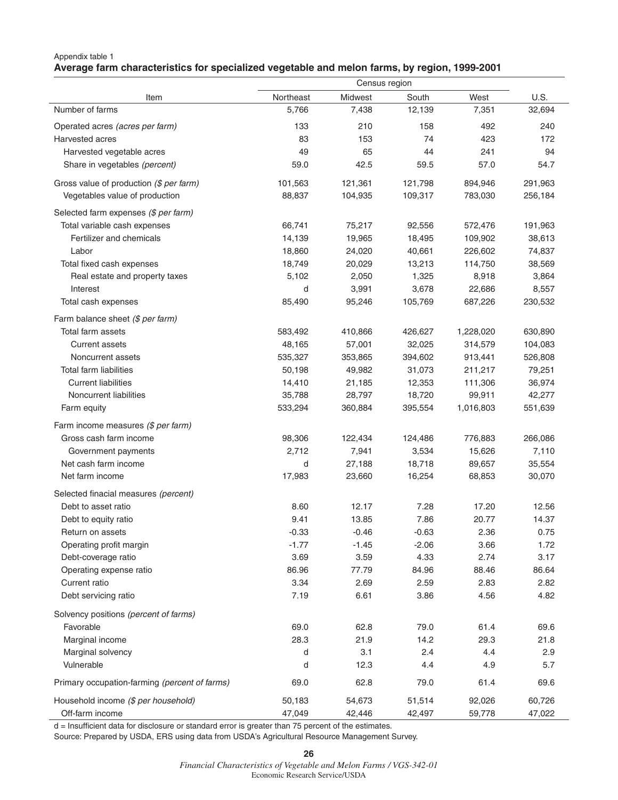## Appendix table 1 **Average farm characteristics for specialized vegetable and melon farms, by region, 1999-2001**

|                                               | Census region |         |         |           |         |
|-----------------------------------------------|---------------|---------|---------|-----------|---------|
| Item                                          | Northeast     | Midwest | South   | West      | U.S.    |
| Number of farms                               | 5,766         | 7,438   | 12,139  | 7,351     | 32,694  |
| Operated acres (acres per farm)               | 133           | 210     | 158     | 492       | 240     |
| Harvested acres                               | 83            | 153     | 74      | 423       | 172     |
| Harvested vegetable acres                     | 49            | 65      | 44      | 241       | 94      |
| Share in vegetables (percent)                 | 59.0          | 42.5    | 59.5    | 57.0      | 54.7    |
| Gross value of production (\$ per farm)       | 101,563       | 121,361 | 121,798 | 894,946   | 291,963 |
| Vegetables value of production                | 88,837        | 104,935 | 109,317 | 783,030   | 256,184 |
| Selected farm expenses (\$ per farm)          |               |         |         |           |         |
| Total variable cash expenses                  | 66,741        | 75,217  | 92,556  | 572,476   | 191,963 |
| Fertilizer and chemicals                      | 14,139        | 19,965  | 18,495  | 109,902   | 38,613  |
| Labor                                         | 18,860        | 24,020  | 40,661  | 226,602   | 74,837  |
| Total fixed cash expenses                     | 18,749        | 20,029  | 13,213  | 114,750   | 38,569  |
| Real estate and property taxes                | 5,102         | 2,050   | 1,325   | 8,918     | 3,864   |
| Interest                                      | d             | 3,991   | 3,678   | 22,686    | 8,557   |
| Total cash expenses                           | 85,490        | 95,246  | 105,769 | 687,226   | 230,532 |
| Farm balance sheet (\$ per farm)              |               |         |         |           |         |
| Total farm assets                             | 583,492       | 410,866 | 426,627 | 1,228,020 | 630,890 |
| <b>Current assets</b>                         | 48,165        | 57,001  | 32,025  | 314,579   | 104,083 |
| Noncurrent assets                             | 535,327       | 353,865 | 394,602 | 913,441   | 526,808 |
| <b>Total farm liabilities</b>                 | 50,198        | 49,982  | 31,073  | 211,217   | 79,251  |
| <b>Current liabilities</b>                    | 14,410        | 21,185  | 12,353  | 111,306   | 36,974  |
| Noncurrent liabilities                        | 35,788        | 28,797  | 18,720  | 99,911    | 42,277  |
| Farm equity                                   | 533,294       | 360,884 | 395,554 | 1,016,803 | 551,639 |
| Farm income measures (\$ per farm)            |               |         |         |           |         |
| Gross cash farm income                        | 98,306        | 122,434 | 124,486 | 776,883   | 266,086 |
| Government payments                           | 2,712         | 7,941   | 3,534   | 15,626    | 7,110   |
| Net cash farm income                          | d             | 27,188  | 18,718  | 89,657    | 35,554  |
| Net farm income                               | 17,983        | 23,660  | 16,254  | 68,853    | 30,070  |
| Selected finacial measures (percent)          |               |         |         |           |         |
| Debt to asset ratio                           | 8.60          | 12.17   | 7.28    | 17.20     | 12.56   |
| Debt to equity ratio                          | 9.41          | 13.85   | 7.86    | 20.77     | 14.37   |
| Return on assets                              | $-0.33$       | $-0.46$ | $-0.63$ | 2.36      | 0.75    |
| Operating profit margin                       | $-1.77$       | $-1.45$ | $-2.06$ | 3.66      | 1.72    |
| Debt-coverage ratio                           | 3.69          | 3.59    | 4.33    | 2.74      | 3.17    |
| Operating expense ratio                       | 86.96         | 77.79   | 84.96   | 88.46     | 86.64   |
| Current ratio                                 | 3.34          | 2.69    | 2.59    | 2.83      | 2.82    |
| Debt servicing ratio                          | 7.19          | 6.61    | 3.86    | 4.56      | 4.82    |
| Solvency positions (percent of farms)         |               |         |         |           |         |
| Favorable                                     | 69.0          | 62.8    | 79.0    | 61.4      | 69.6    |
| Marginal income                               | 28.3          | 21.9    | 14.2    | 29.3      | 21.8    |
| Marginal solvency                             | d             | 3.1     | 2.4     | 4.4       | 2.9     |
| Vulnerable                                    | d             | 12.3    | 4.4     | 4.9       | 5.7     |
| Primary occupation-farming (percent of farms) | 69.0          | 62.8    | 79.0    | 61.4      | 69.6    |
|                                               |               |         |         |           |         |
| Household income (\$ per household)           | 50,183        | 54,673  | 51,514  | 92,026    | 60,726  |
| Off-farm income                               | 47,049        | 42,446  | 42,497  | 59,778    | 47,022  |

d = Insufficient data for disclosure or standard error is greater than 75 percent of the estimates.

Source: Prepared by USDA, ERS using data from USDA's Agricultural Resource Management Survey.

**26**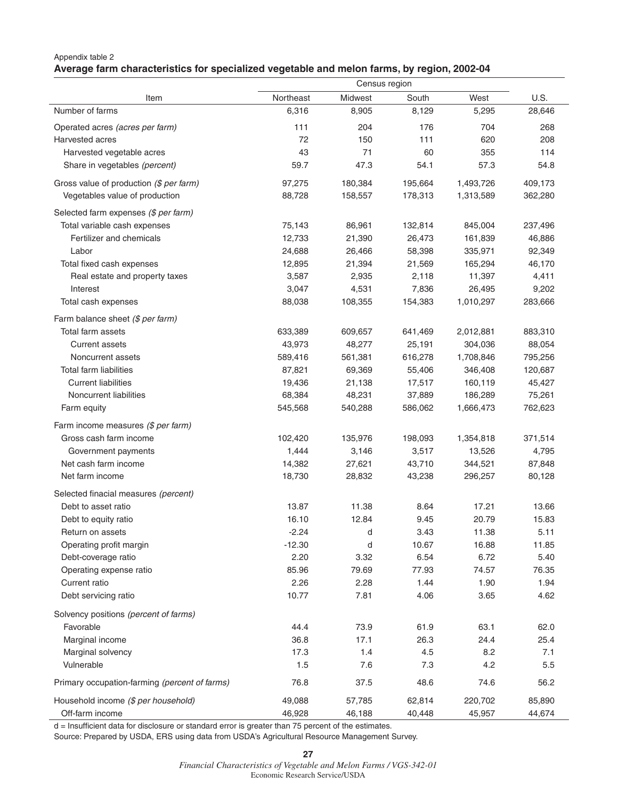## Appendix table 2 **Average farm characteristics for specialized vegetable and melon farms, by region, 2002-04**

|                                               |           | Census region |         |           |         |  |
|-----------------------------------------------|-----------|---------------|---------|-----------|---------|--|
| Item                                          | Northeast | Midwest       | South   | West      | U.S.    |  |
| Number of farms                               | 6,316     | 8,905         | 8,129   | 5,295     | 28,646  |  |
| Operated acres (acres per farm)               | 111       | 204           | 176     | 704       | 268     |  |
| Harvested acres                               | 72        | 150           | 111     | 620       | 208     |  |
| Harvested vegetable acres                     | 43        | 71            | 60      | 355       | 114     |  |
| Share in vegetables (percent)                 | 59.7      | 47.3          | 54.1    | 57.3      | 54.8    |  |
| Gross value of production (\$ per farm)       | 97,275    | 180,384       | 195,664 | 1,493,726 | 409,173 |  |
| Vegetables value of production                | 88,728    | 158,557       | 178,313 | 1,313,589 | 362,280 |  |
|                                               |           |               |         |           |         |  |
| Selected farm expenses (\$ per farm)          |           |               |         |           |         |  |
| Total variable cash expenses                  | 75,143    | 86,961        | 132,814 | 845,004   | 237,496 |  |
| Fertilizer and chemicals                      | 12,733    | 21,390        | 26,473  | 161,839   | 46,886  |  |
| Labor                                         | 24,688    | 26,466        | 58,398  | 335,971   | 92,349  |  |
| Total fixed cash expenses                     | 12,895    | 21,394        | 21,569  | 165,294   | 46,170  |  |
| Real estate and property taxes                | 3,587     | 2,935         | 2,118   | 11,397    | 4,411   |  |
| Interest                                      | 3,047     | 4,531         | 7,836   | 26,495    | 9,202   |  |
| Total cash expenses                           | 88,038    | 108,355       | 154,383 | 1,010,297 | 283,666 |  |
| Farm balance sheet (\$ per farm)              |           |               |         |           |         |  |
| Total farm assets                             | 633,389   | 609,657       | 641,469 | 2,012,881 | 883,310 |  |
| <b>Current assets</b>                         | 43,973    | 48,277        | 25,191  | 304,036   | 88,054  |  |
| Noncurrent assets                             | 589,416   | 561,381       | 616,278 | 1,708,846 | 795,256 |  |
| <b>Total farm liabilities</b>                 | 87,821    | 69,369        | 55,406  | 346,408   | 120,687 |  |
| <b>Current liabilities</b>                    | 19,436    | 21,138        | 17,517  | 160,119   | 45,427  |  |
| Noncurrent liabilities                        | 68,384    | 48,231        | 37,889  | 186,289   | 75,261  |  |
| Farm equity                                   | 545,568   | 540,288       | 586,062 | 1,666,473 | 762,623 |  |
| Farm income measures (\$ per farm)            |           |               |         |           |         |  |
| Gross cash farm income                        | 102,420   | 135,976       | 198,093 | 1,354,818 | 371,514 |  |
| Government payments                           | 1,444     | 3,146         | 3,517   | 13,526    | 4,795   |  |
| Net cash farm income                          | 14,382    | 27,621        | 43,710  | 344,521   | 87,848  |  |
| Net farm income                               | 18,730    | 28,832        | 43,238  | 296,257   | 80,128  |  |
|                                               |           |               |         |           |         |  |
| Selected finacial measures (percent)          |           |               |         |           |         |  |
| Debt to asset ratio                           | 13.87     | 11.38         | 8.64    | 17.21     | 13.66   |  |
| Debt to equity ratio                          | 16.10     | 12.84         | 9.45    | 20.79     | 15.83   |  |
| Return on assets                              | $-2.24$   | d             | 3.43    | 11.38     | 5.11    |  |
| Operating profit margin                       | $-12.30$  | d             | 10.67   | 16.88     | 11.85   |  |
| Debt-coverage ratio                           | 2.20      | 3.32          | 6.54    | 6.72      | 5.40    |  |
| Operating expense ratio                       | 85.96     | 79.69         | 77.93   | 74.57     | 76.35   |  |
| Current ratio                                 | 2.26      | 2.28          | 1.44    | 1.90      | 1.94    |  |
| Debt servicing ratio                          | 10.77     | 7.81          | 4.06    | 3.65      | 4.62    |  |
| Solvency positions (percent of farms)         |           |               |         |           |         |  |
| Favorable                                     | 44.4      | 73.9          | 61.9    | 63.1      | 62.0    |  |
| Marginal income                               | 36.8      | 17.1          | 26.3    | 24.4      | 25.4    |  |
| Marginal solvency                             | 17.3      | 1.4           | 4.5     | 8.2       | 7.1     |  |
| Vulnerable                                    | 1.5       | 7.6           | 7.3     | 4.2       | 5.5     |  |
| Primary occupation-farming (percent of farms) | 76.8      | 37.5          | 48.6    | 74.6      | 56.2    |  |
| Household income (\$ per household)           | 49,088    | 57,785        | 62,814  | 220,702   | 85,890  |  |
| Off-farm income                               | 46,928    | 46,188        | 40,448  | 45,957    | 44,674  |  |

d = Insufficient data for disclosure or standard error is greater than 75 percent of the estimates.

Source: Prepared by USDA, ERS using data from USDA's Agricultural Resource Management Survey.

**27**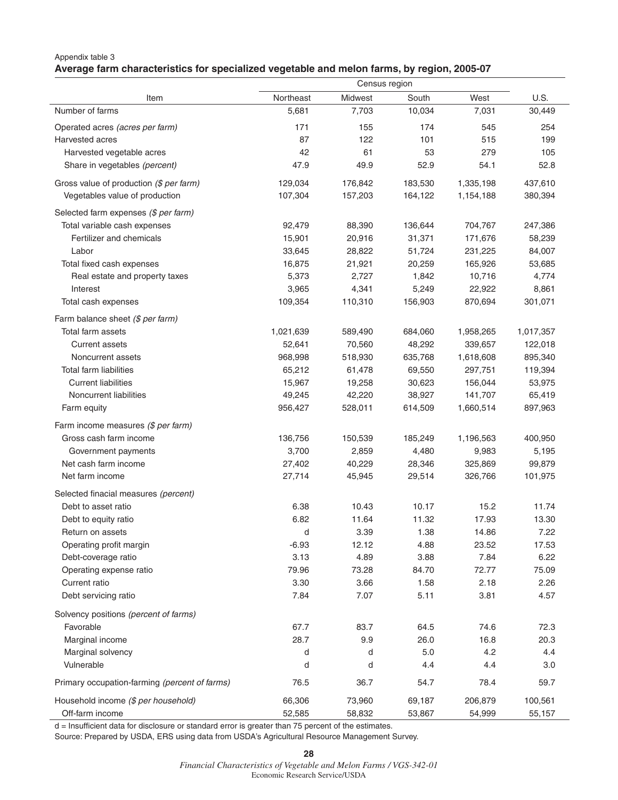## Appendix table 3 **Average farm characteristics for specialized vegetable and melon farms, by region, 2005-07**

|                                               | Census region |         |         |           |           |
|-----------------------------------------------|---------------|---------|---------|-----------|-----------|
| Item                                          | Northeast     | Midwest | South   | West      | U.S.      |
| Number of farms                               | 5,681         | 7,703   | 10,034  | 7,031     | 30,449    |
| Operated acres (acres per farm)               | 171           | 155     | 174     | 545       | 254       |
| Harvested acres                               | 87            | 122     | 101     | 515       | 199       |
| Harvested vegetable acres                     | 42            | 61      | 53      | 279       | 105       |
| Share in vegetables (percent)                 | 47.9          | 49.9    | 52.9    | 54.1      | 52.8      |
| Gross value of production (\$ per farm)       | 129,034       | 176,842 | 183,530 | 1,335,198 | 437,610   |
| Vegetables value of production                | 107,304       | 157,203 | 164,122 | 1,154,188 | 380,394   |
| Selected farm expenses (\$ per farm)          |               |         |         |           |           |
| Total variable cash expenses                  | 92,479        | 88,390  | 136,644 | 704,767   | 247,386   |
| Fertilizer and chemicals                      | 15,901        | 20,916  | 31,371  | 171,676   | 58,239    |
| Labor                                         | 33,645        | 28,822  | 51,724  | 231,225   | 84,007    |
| Total fixed cash expenses                     | 16,875        | 21,921  | 20,259  | 165,926   | 53,685    |
| Real estate and property taxes                | 5,373         | 2,727   | 1,842   | 10,716    | 4,774     |
| Interest                                      | 3,965         | 4,341   | 5,249   | 22,922    | 8,861     |
| Total cash expenses                           | 109,354       | 110,310 | 156,903 | 870,694   | 301,071   |
| Farm balance sheet (\$ per farm)              |               |         |         |           |           |
| Total farm assets                             | 1,021,639     | 589,490 | 684,060 | 1,958,265 | 1,017,357 |
| <b>Current assets</b>                         | 52,641        | 70,560  | 48,292  | 339,657   | 122,018   |
| Noncurrent assets                             | 968,998       | 518,930 | 635,768 | 1,618,608 | 895,340   |
| <b>Total farm liabilities</b>                 | 65,212        | 61,478  | 69,550  | 297,751   | 119,394   |
| <b>Current liabilities</b>                    | 15,967        | 19,258  | 30,623  | 156,044   | 53,975    |
| Noncurrent liabilities                        | 49,245        | 42,220  | 38,927  | 141,707   | 65,419    |
| Farm equity                                   | 956,427       | 528,011 | 614,509 | 1,660,514 | 897,963   |
| Farm income measures (\$ per farm)            |               |         |         |           |           |
| Gross cash farm income                        |               |         |         |           |           |
|                                               | 136,756       | 150,539 | 185,249 | 1,196,563 | 400,950   |
| Government payments                           | 3,700         | 2,859   | 4,480   | 9,983     | 5,195     |
| Net cash farm income                          | 27,402        | 40,229  | 28,346  | 325,869   | 99,879    |
| Net farm income                               | 27,714        | 45,945  | 29,514  | 326,766   | 101,975   |
| Selected finacial measures (percent)          |               |         |         |           |           |
| Debt to asset ratio                           | 6.38          | 10.43   | 10.17   | 15.2      | 11.74     |
| Debt to equity ratio                          | 6.82          | 11.64   | 11.32   | 17.93     | 13.30     |
| Return on assets                              | d             | 3.39    | 1.38    | 14.86     | 7.22      |
| Operating profit margin                       | $-6.93$       | 12.12   | 4.88    | 23.52     | 17.53     |
| Debt-coverage ratio                           | 3.13          | 4.89    | 3.88    | 7.84      | 6.22      |
| Operating expense ratio                       | 79.96         | 73.28   | 84.70   | 72.77     | 75.09     |
| Current ratio                                 | 3.30          | 3.66    | 1.58    | 2.18      | 2.26      |
| Debt servicing ratio                          | 7.84          | 7.07    | 5.11    | 3.81      | 4.57      |
| Solvency positions (percent of farms)         |               |         |         |           |           |
| Favorable                                     | 67.7          | 83.7    | 64.5    | 74.6      | 72.3      |
| Marginal income                               | 28.7          | 9.9     | 26.0    | 16.8      | 20.3      |
| Marginal solvency                             | d             | d       | 5.0     | 4.2       | 4.4       |
| Vulnerable                                    | d             | d       | 4.4     | 4.4       | 3.0       |
| Primary occupation-farming (percent of farms) | 76.5          | 36.7    | 54.7    | 78.4      | 59.7      |
| Household income (\$ per household)           | 66,306        | 73,960  | 69,187  | 206,879   | 100,561   |
| Off-farm income                               | 52,585        | 58,832  | 53,867  | 54,999    | 55,157    |

d = Insufficient data for disclosure or standard error is greater than 75 percent of the estimates.

Source: Prepared by USDA, ERS using data from USDA's Agricultural Resource Management Survey.

**28**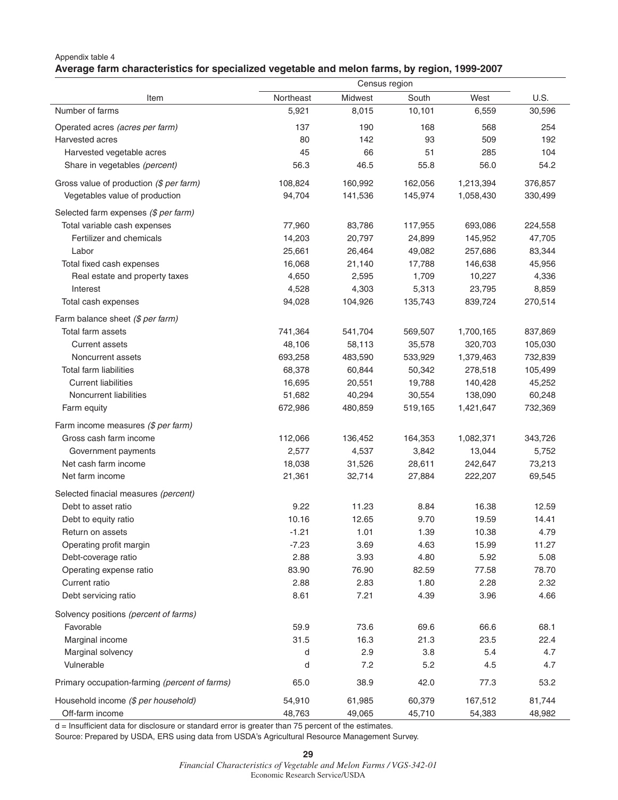## Appendix table 4 **Average farm characteristics for specialized vegetable and melon farms, by region, 1999-2007**

|                                               | Census region |         |         |           |         |
|-----------------------------------------------|---------------|---------|---------|-----------|---------|
| Item                                          | Northeast     | Midwest | South   | West      | U.S.    |
| Number of farms                               | 5,921         | 8,015   | 10,101  | 6,559     | 30,596  |
| Operated acres (acres per farm)               | 137           | 190     | 168     | 568       | 254     |
| Harvested acres                               | 80            | 142     | 93      | 509       | 192     |
| Harvested vegetable acres                     | 45            | 66      | 51      | 285       | 104     |
| Share in vegetables (percent)                 | 56.3          | 46.5    | 55.8    | 56.0      | 54.2    |
| Gross value of production (\$ per farm)       | 108,824       | 160,992 | 162,056 | 1,213,394 | 376,857 |
| Vegetables value of production                | 94,704        | 141,536 | 145,974 | 1,058,430 | 330,499 |
| Selected farm expenses (\$ per farm)          |               |         |         |           |         |
| Total variable cash expenses                  | 77,960        | 83,786  | 117,955 | 693,086   | 224,558 |
| Fertilizer and chemicals                      | 14,203        | 20,797  | 24,899  | 145,952   | 47,705  |
| Labor                                         | 25,661        | 26,464  | 49,082  | 257,686   | 83,344  |
| Total fixed cash expenses                     | 16,068        | 21,140  | 17,788  | 146,638   | 45,956  |
| Real estate and property taxes                | 4,650         | 2,595   | 1,709   | 10,227    | 4,336   |
| Interest                                      | 4,528         | 4,303   | 5,313   | 23,795    | 8,859   |
| Total cash expenses                           | 94,028        | 104,926 | 135,743 | 839,724   | 270,514 |
| Farm balance sheet (\$ per farm)              |               |         |         |           |         |
| Total farm assets                             | 741,364       | 541,704 | 569,507 | 1,700,165 | 837,869 |
| <b>Current assets</b>                         | 48,106        | 58,113  | 35,578  | 320,703   | 105,030 |
| Noncurrent assets                             | 693,258       | 483,590 | 533,929 | 1,379,463 | 732,839 |
| <b>Total farm liabilities</b>                 | 68,378        | 60,844  | 50,342  | 278,518   | 105,499 |
| <b>Current liabilities</b>                    | 16,695        | 20,551  | 19,788  | 140,428   | 45,252  |
| Noncurrent liabilities                        | 51,682        | 40,294  | 30,554  | 138,090   | 60,248  |
| Farm equity                                   | 672,986       | 480,859 | 519,165 | 1,421,647 | 732,369 |
| Farm income measures (\$ per farm)            |               |         |         |           |         |
| Gross cash farm income                        | 112,066       | 136,452 | 164,353 | 1,082,371 | 343,726 |
| Government payments                           | 2,577         | 4,537   | 3,842   | 13,044    | 5,752   |
| Net cash farm income                          | 18,038        | 31,526  | 28,611  | 242,647   | 73,213  |
| Net farm income                               | 21,361        | 32,714  | 27,884  | 222,207   | 69,545  |
| Selected finacial measures (percent)          |               |         |         |           |         |
| Debt to asset ratio                           | 9.22          | 11.23   | 8.84    | 16.38     | 12.59   |
| Debt to equity ratio                          | 10.16         | 12.65   | 9.70    | 19.59     | 14.41   |
| Return on assets                              | $-1.21$       | 1.01    | 1.39    | 10.38     | 4.79    |
| Operating profit margin                       | $-7.23$       | 3.69    | 4.63    | 15.99     | 11.27   |
| Debt-coverage ratio                           | 2.88          | 3.93    | 4.80    | 5.92      | 5.08    |
| Operating expense ratio                       | 83.90         | 76.90   | 82.59   | 77.58     | 78.70   |
| Current ratio                                 | 2.88          | 2.83    | 1.80    | 2.28      | 2.32    |
| Debt servicing ratio                          | 8.61          | 7.21    | 4.39    | 3.96      | 4.66    |
| Solvency positions (percent of farms)         |               |         |         |           |         |
| Favorable                                     | 59.9          | 73.6    | 69.6    | 66.6      | 68.1    |
|                                               |               |         |         |           |         |
| Marginal income                               | 31.5          | 16.3    | 21.3    | 23.5      | 22.4    |
| Marginal solvency                             | d             | 2.9     | 3.8     | 5.4       | 4.7     |
| Vulnerable                                    | d             | 7.2     | 5.2     | 4.5       | 4.7     |
| Primary occupation-farming (percent of farms) | 65.0          | 38.9    | 42.0    | 77.3      | 53.2    |
| Household income (\$ per household)           | 54,910        | 61,985  | 60,379  | 167,512   | 81,744  |
| Off-farm income                               | 48,763        | 49,065  | 45,710  | 54,383    | 48,982  |

d = Insufficient data for disclosure or standard error is greater than 75 percent of the estimates.

Source: Prepared by USDA, ERS using data from USDA's Agricultural Resource Management Survey.

**29**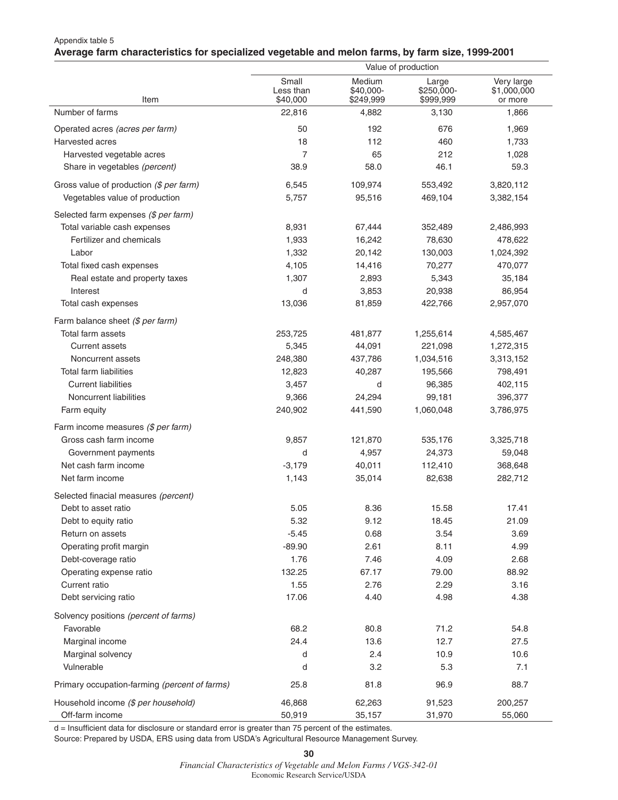## Appendix table 5 **Average farm characteristics for specialized vegetable and melon farms, by farm size, 1999-2001**

|                                               |                                |                                  | Value of production              |                                      |
|-----------------------------------------------|--------------------------------|----------------------------------|----------------------------------|--------------------------------------|
| Item                                          | Small<br>Less than<br>\$40,000 | Medium<br>\$40.000-<br>\$249,999 | Large<br>\$250,000-<br>\$999,999 | Very large<br>\$1,000,000<br>or more |
| Number of farms                               | 22,816                         | 4,882                            | 3,130                            | 1,866                                |
| Operated acres (acres per farm)               | 50                             | 192                              | 676                              | 1,969                                |
| Harvested acres                               | 18                             | 112                              | 460                              | 1,733                                |
| Harvested vegetable acres                     | $\overline{7}$                 | 65                               | 212                              | 1,028                                |
| Share in vegetables (percent)                 | 38.9                           | 58.0                             | 46.1                             | 59.3                                 |
| Gross value of production (\$ per farm)       | 6,545                          | 109,974                          | 553,492                          | 3,820,112                            |
| Vegetables value of production                | 5,757                          | 95,516                           | 469,104                          | 3,382,154                            |
| Selected farm expenses (\$ per farm)          |                                |                                  |                                  |                                      |
| Total variable cash expenses                  | 8,931                          | 67,444                           | 352,489                          | 2,486,993                            |
| Fertilizer and chemicals                      | 1,933                          | 16,242                           | 78,630                           | 478,622                              |
| Labor                                         | 1,332                          | 20,142                           | 130,003                          | 1,024,392                            |
| Total fixed cash expenses                     | 4,105                          | 14,416                           | 70,277                           | 470,077                              |
| Real estate and property taxes                | 1,307                          | 2,893                            | 5,343                            | 35,184                               |
| Interest                                      | d                              | 3,853                            | 20,938                           | 86,954                               |
| Total cash expenses                           | 13,036                         | 81,859                           | 422,766                          | 2,957,070                            |
| Farm balance sheet (\$ per farm)              |                                |                                  |                                  |                                      |
| Total farm assets                             | 253,725                        | 481,877                          | 1,255,614                        | 4,585,467                            |
| <b>Current assets</b>                         | 5,345                          | 44,091                           | 221,098                          | 1,272,315                            |
| Noncurrent assets                             | 248,380                        | 437,786                          | 1,034,516                        | 3,313,152                            |
| <b>Total farm liabilities</b>                 | 12,823                         | 40,287                           | 195,566                          | 798,491                              |
| <b>Current liabilities</b>                    | 3,457                          | d                                | 96,385                           | 402,115                              |
| Noncurrent liabilities                        | 9,366                          | 24,294                           | 99,181                           | 396,377                              |
| Farm equity                                   | 240,902                        | 441,590                          | 1,060,048                        | 3,786,975                            |
| Farm income measures (\$ per farm)            |                                |                                  |                                  |                                      |
| Gross cash farm income                        | 9,857                          | 121,870                          | 535,176                          | 3,325,718                            |
| Government payments                           | d                              | 4,957                            | 24,373                           | 59,048                               |
| Net cash farm income                          | $-3,179$                       | 40,011                           | 112,410                          | 368,648                              |
| Net farm income                               | 1,143                          | 35,014                           | 82,638                           | 282,712                              |
| Selected finacial measures (percent)          |                                |                                  |                                  |                                      |
| Debt to asset ratio                           | 5.05                           | 8.36                             | 15.58                            | 17.41                                |
| Debt to equity ratio                          | 5.32                           | 9.12                             | 18.45                            | 21.09                                |
| Return on assets                              | $-5.45$                        | 0.68                             | 3.54                             | 3.69                                 |
| Operating profit margin                       | $-89.90$                       | 2.61                             | 8.11                             | 4.99                                 |
| Debt-coverage ratio                           | 1.76                           | 7.46                             | 4.09                             | 2.68                                 |
| Operating expense ratio                       | 132.25                         | 67.17                            | 79.00                            | 88.92                                |
| Current ratio                                 | 1.55                           | 2.76                             | 2.29                             | 3.16                                 |
| Debt servicing ratio                          | 17.06                          | 4.40                             | 4.98                             | 4.38                                 |
| Solvency positions (percent of farms)         |                                |                                  |                                  |                                      |
| Favorable                                     | 68.2                           | 80.8                             | 71.2                             | 54.8                                 |
| Marginal income                               | 24.4                           | 13.6                             | 12.7                             | 27.5                                 |
| Marginal solvency                             | d                              | 2.4                              | 10.9                             | 10.6                                 |
| Vulnerable                                    | d                              | 3.2                              | 5.3                              | 7.1                                  |
| Primary occupation-farming (percent of farms) | 25.8                           | 81.8                             | 96.9                             | 88.7                                 |
| Household income (\$ per household)           | 46,868                         | 62,263                           | 91,523                           | 200,257                              |
| Off-farm income                               | 50,919                         | 35,157                           | 31,970                           | 55,060                               |

d = Insufficient data for disclosure or standard error is greater than 75 percent of the estimates.

Source: Prepared by USDA, ERS using data from USDA's Agricultural Resource Management Survey.

**<sup>30</sup>**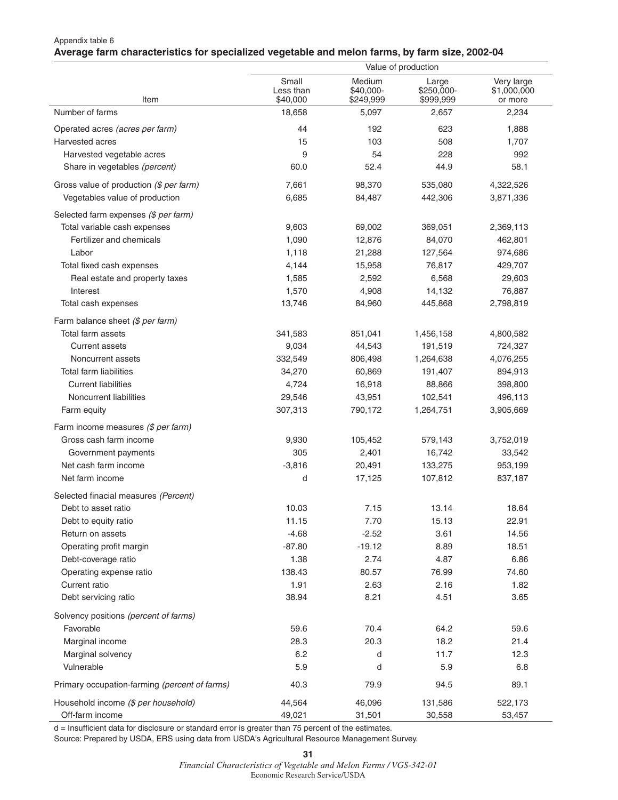## Appendix table 6 **Average farm characteristics for specialized vegetable and melon farms, by farm size, 2002-04**

|                                               |                                |                                  | Value of production              |                                      |
|-----------------------------------------------|--------------------------------|----------------------------------|----------------------------------|--------------------------------------|
| Item                                          | Small<br>Less than<br>\$40,000 | Medium<br>\$40,000-<br>\$249,999 | Large<br>\$250,000-<br>\$999,999 | Very large<br>\$1,000,000<br>or more |
| Number of farms                               | 18,658                         | 5,097                            | 2,657                            | 2,234                                |
| Operated acres (acres per farm)               | 44                             | 192                              | 623                              | 1,888                                |
| Harvested acres                               | 15                             | 103                              | 508                              | 1,707                                |
| Harvested vegetable acres                     | 9                              | 54                               | 228                              | 992                                  |
| Share in vegetables (percent)                 | 60.0                           | 52.4                             | 44.9                             | 58.1                                 |
| Gross value of production (\$ per farm)       | 7,661                          | 98,370                           | 535,080                          | 4,322,526                            |
| Vegetables value of production                | 6,685                          | 84,487                           | 442,306                          | 3,871,336                            |
| Selected farm expenses (\$ per farm)          |                                |                                  |                                  |                                      |
| Total variable cash expenses                  | 9,603                          | 69,002                           | 369,051                          | 2,369,113                            |
| Fertilizer and chemicals                      | 1,090                          | 12,876                           | 84,070                           | 462,801                              |
| Labor                                         | 1,118                          | 21,288                           | 127,564                          | 974,686                              |
| Total fixed cash expenses                     | 4,144                          | 15,958                           | 76,817                           | 429,707                              |
| Real estate and property taxes                | 1,585                          | 2,592                            | 6,568                            | 29,603                               |
| Interest                                      | 1,570                          | 4,908                            | 14,132                           | 76,887                               |
| Total cash expenses                           | 13,746                         | 84,960                           | 445,868                          | 2,798,819                            |
| Farm balance sheet (\$ per farm)              |                                |                                  |                                  |                                      |
| Total farm assets                             | 341,583                        | 851,041                          | 1,456,158                        | 4,800,582                            |
| <b>Current assets</b>                         | 9,034                          | 44,543                           | 191,519                          | 724,327                              |
| Noncurrent assets                             | 332,549                        | 806,498                          | 1,264,638                        | 4,076,255                            |
| <b>Total farm liabilities</b>                 | 34,270                         | 60,869                           | 191,407                          | 894,913                              |
| <b>Current liabilities</b>                    | 4,724                          | 16,918                           | 88,866                           | 398,800                              |
| Noncurrent liabilities                        | 29,546                         | 43,951                           | 102,541                          | 496,113                              |
| Farm equity                                   | 307,313                        | 790,172                          | 1,264,751                        | 3,905,669                            |
| Farm income measures (\$ per farm)            |                                |                                  |                                  |                                      |
| Gross cash farm income                        | 9,930                          | 105,452                          | 579,143                          | 3,752,019                            |
| Government payments                           | 305                            | 2,401                            | 16,742                           | 33,542                               |
| Net cash farm income                          | $-3,816$                       | 20,491                           | 133,275                          | 953,199                              |
| Net farm income                               | d                              | 17,125                           | 107,812                          | 837,187                              |
| Selected finacial measures (Percent)          |                                |                                  |                                  |                                      |
| Debt to asset ratio                           | 10.03                          | 7.15                             | 13.14                            | 18.64                                |
| Debt to equity ratio                          | 11.15                          | 7.70                             | 15.13                            | 22.91                                |
| Return on assets                              | $-4.68$                        | $-2.52$                          | 3.61                             | 14.56                                |
| Operating profit margin                       | $-87.80$                       | $-19.12$                         | 8.89                             | 18.51                                |
| Debt-coverage ratio                           | 1.38                           | 2.74                             | 4.87                             | 6.86                                 |
| Operating expense ratio                       | 138.43                         | 80.57                            | 76.99                            | 74.60                                |
| Current ratio                                 | 1.91                           | 2.63                             | 2.16                             | 1.82                                 |
| Debt servicing ratio                          | 38.94                          | 8.21                             | 4.51                             | 3.65                                 |
| Solvency positions (percent of farms)         |                                |                                  |                                  |                                      |
| Favorable                                     | 59.6                           | 70.4                             | 64.2                             | 59.6                                 |
| Marginal income                               | 28.3                           | 20.3                             | 18.2                             | 21.4                                 |
| Marginal solvency                             | 6.2                            | d                                | 11.7                             | 12.3                                 |
| Vulnerable                                    | 5.9                            | d                                | 5.9                              | 6.8                                  |
| Primary occupation-farming (percent of farms) | 40.3                           | 79.9                             | 94.5                             | 89.1                                 |
| Household income (\$ per household)           | 44,564                         | 46,096                           | 131,586                          | 522,173                              |
| Off-farm income                               | 49,021                         | 31,501                           | 30,558                           | 53,457                               |

d = Insufficient data for disclosure or standard error is greater than 75 percent of the estimates.

Source: Prepared by USDA, ERS using data from USDA's Agricultural Resource Management Survey.

**31**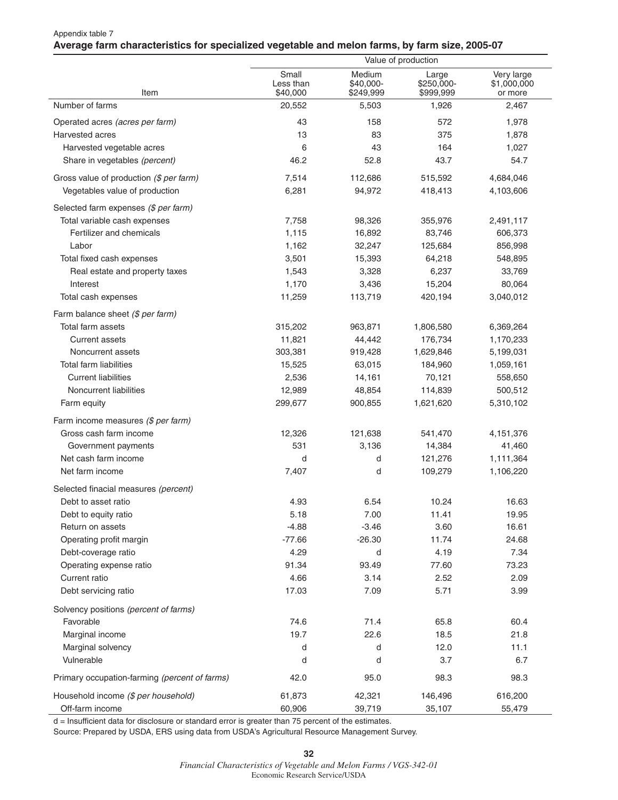#### Appendix table 7 **Average farm characteristics for specialized vegetable and melon farms, by farm size, 2005-07**

|                                               | Value of production            |                                  |                                  |                                      |  |
|-----------------------------------------------|--------------------------------|----------------------------------|----------------------------------|--------------------------------------|--|
| Item                                          | Small<br>Less than<br>\$40,000 | Medium<br>\$40,000-<br>\$249,999 | Large<br>\$250,000-<br>\$999,999 | Very large<br>\$1,000,000<br>or more |  |
| Number of farms                               | 20,552                         | 5,503                            | 1,926                            | 2,467                                |  |
| Operated acres (acres per farm)               | 43                             | 158                              | 572                              | 1,978                                |  |
| Harvested acres                               | 13                             | 83                               | 375                              | 1,878                                |  |
| Harvested vegetable acres                     | 6                              | 43                               | 164                              | 1,027                                |  |
| Share in vegetables (percent)                 | 46.2                           | 52.8                             | 43.7                             | 54.7                                 |  |
| Gross value of production (\$ per farm)       | 7,514                          | 112,686                          | 515,592                          | 4,684,046                            |  |
| Vegetables value of production                | 6,281                          | 94,972                           | 418,413                          | 4,103,606                            |  |
| Selected farm expenses (\$ per farm)          |                                |                                  |                                  |                                      |  |
| Total variable cash expenses                  | 7,758                          | 98,326                           | 355,976                          | 2,491,117                            |  |
| Fertilizer and chemicals                      | 1,115                          | 16,892                           | 83,746                           | 606,373                              |  |
| Labor                                         | 1,162                          | 32,247                           | 125,684                          | 856,998                              |  |
| Total fixed cash expenses                     | 3,501                          | 15,393                           | 64,218                           | 548,895                              |  |
| Real estate and property taxes                | 1,543                          | 3,328                            | 6,237                            | 33,769                               |  |
| Interest                                      | 1,170                          | 3,436                            | 15,204                           | 80,064                               |  |
| Total cash expenses                           | 11,259                         | 113,719                          | 420,194                          | 3,040,012                            |  |
| Farm balance sheet (\$ per farm)              |                                |                                  |                                  |                                      |  |
| Total farm assets                             | 315,202                        | 963,871                          | 1,806,580                        | 6,369,264                            |  |
| Current assets                                | 11,821                         | 44,442                           | 176,734                          | 1,170,233                            |  |
| Noncurrent assets                             | 303,381                        | 919,428                          | 1,629,846                        | 5,199,031                            |  |
| <b>Total farm liabilities</b>                 | 15,525                         | 63,015                           | 184,960                          | 1,059,161                            |  |
| <b>Current liabilities</b>                    | 2,536                          | 14,161                           | 70,121                           | 558,650                              |  |
| Noncurrent liabilities                        | 12,989                         | 48,854                           | 114,839                          | 500,512                              |  |
| Farm equity                                   | 299,677                        | 900,855                          | 1,621,620                        | 5,310,102                            |  |
| Farm income measures (\$ per farm)            |                                |                                  |                                  |                                      |  |
| Gross cash farm income                        | 12,326                         | 121,638                          | 541,470                          | 4,151,376                            |  |
| Government payments                           | 531                            | 3,136                            | 14,384                           | 41,460                               |  |
| Net cash farm income                          | d                              | d                                | 121,276                          | 1,111,364                            |  |
| Net farm income                               | 7,407                          | d                                | 109,279                          | 1,106,220                            |  |
| Selected finacial measures (percent)          |                                |                                  |                                  |                                      |  |
| Debt to asset ratio                           | 4.93                           | 6.54                             | 10.24                            | 16.63                                |  |
| Debt to equity ratio                          | 5.18                           | 7.00                             | 11.41                            | 19.95                                |  |
| Return on assets                              | $-4.88$                        | $-3.46$                          | 3.60                             | 16.61                                |  |
| Operating profit margin                       | $-77.66$                       | $-26.30$                         | 11.74                            | 24.68                                |  |
| Debt-coverage ratio                           | 4.29                           | d                                | 4.19                             | 7.34                                 |  |
| Operating expense ratio                       | 91.34                          | 93.49                            | 77.60                            | 73.23                                |  |
| Current ratio                                 | 4.66                           | 3.14                             | 2.52                             | 2.09                                 |  |
| Debt servicing ratio                          | 17.03                          | 7.09                             | 5.71                             | 3.99                                 |  |
| Solvency positions (percent of farms)         |                                |                                  |                                  |                                      |  |
| Favorable                                     | 74.6                           | 71.4                             | 65.8                             | 60.4                                 |  |
| Marginal income                               | 19.7                           | 22.6                             | 18.5                             | 21.8                                 |  |
| Marginal solvency                             | d                              | d                                | 12.0                             | 11.1                                 |  |
| Vulnerable                                    | d                              | d                                | 3.7                              | 6.7                                  |  |
| Primary occupation-farming (percent of farms) | 42.0                           | 95.0                             | 98.3                             | 98.3                                 |  |
| Household income (\$ per household)           | 61,873                         | 42,321                           | 146,496                          | 616,200                              |  |
| Off-farm income                               | 60,906                         | 39,719                           | 35,107                           | 55,479                               |  |

d = Insufficient data for disclosure or standard error is greater than 75 percent of the estimates.

Source: Prepared by USDA, ERS using data from USDA's Agricultural Resource Management Survey.